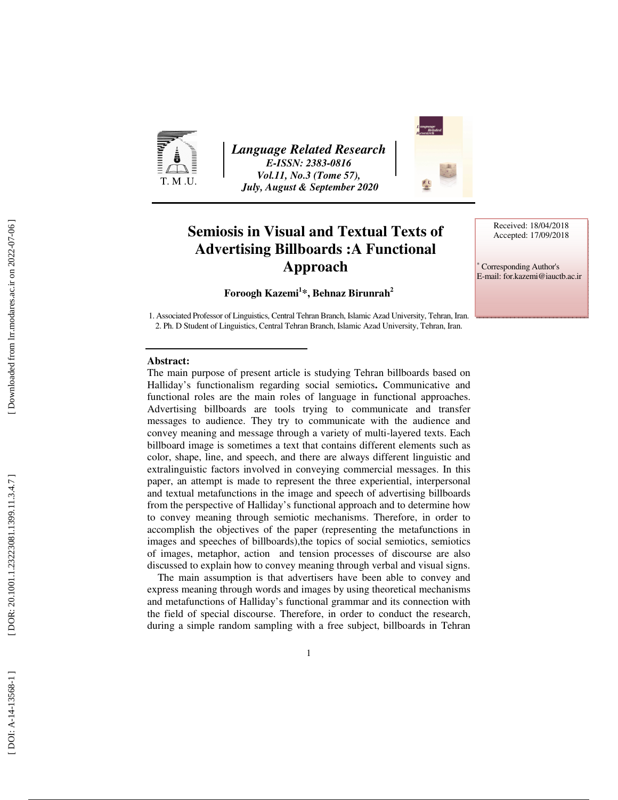

*Language Related Research E-ISSN: 2383-0816 Vol.11, No.3 (Tome 57), July, August & September 2020* 



# **Semiosis in Visual and Textual Texts of Advertising Billboards :A Functional Approach**

Received: 18/04/2018 Accepted: 17/09/2018

∗ Corresponding Author's E-mail: for.kazemi@iauctb.ac.ir

#### **Foroogh Kazemi 1 \*, Behnaz Birunrah<sup>2</sup>**

1. Associated Professor of Linguistics, Central Tehran Branch, Islamic Azad University, Tehran, Iran. 2. Ph. D Student of Linguistics, Central Tehran Branch, Islamic Azad University, Tehran, Iran.

#### **Abstract:**

The main purpose of present article is studying Tehran billboards based on Halliday's functionalism regarding social semiotics**.** Communicative and functional roles are the main roles of language in functional approaches. Advertising billboards are tools trying to communicate and transfer messages to audience. They try to communicate with the audience and convey meaning and message through a variety of multi-layered texts. Each billboard image is sometimes a text that contains different elements such as color, shape, line, and speech, and there are always different linguistic and extralinguistic factors involved in conveying commercial messages. In this paper, an attempt is made to represent the three experiential, interpersonal and textual metafunctions in the image and speech of advertising billboards from the perspective of Halliday's functional approach and to determine how to convey meaning through semiotic mechanisms. Therefore, in order to accomplish the objectives of the paper (representing the metafunctions in images and speeches of billboards),the topics of social semiotics, semiotics of images, metaphor, action and tension processes of discourse are also discussed to explain how to convey meaning through verbal and visual signs.

 The main assumption is that advertisers have been able to convey and express meaning through words and images by using theoretical mechanisms and metafunctions of Halliday's functional grammar and its connection with the field of special discourse. Therefore, in order to conduct the research, during a simple random sampling with a free subject, billboards in Tehran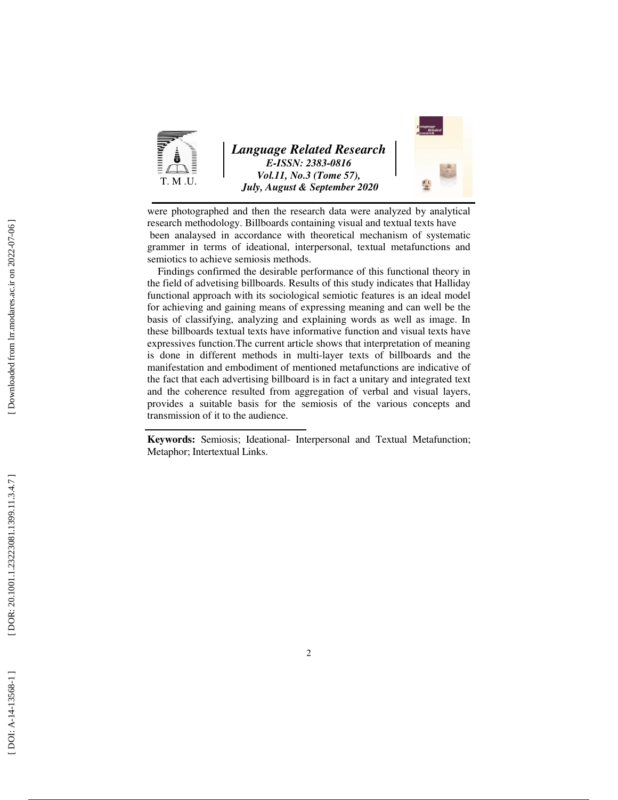

*Language Related Research E-ISSN: 2383-0816 Vol.11, No.3 (Tome 57), July, August & September 2020* 



were photographed and then the research data were analyzed by analytical research methodology. Billboards containing visual and textual texts have been analaysed in accordance with theoretical mechanism of systematic grammer in terms of ideational, interpersonal, textual metafunctions and semiotics to achieve semiosis methods.

 Findings confirmed the desirable performance of this functional theory in the field of advetising billboards. Results of this study indicates that Halliday functional approach with its sociological semiotic features is an ideal model for achieving and gaining means of expressing meaning and can well be the basis of classifying, analyzing and explaining words as well as image. In these billboards textual texts have informative function and visual texts have expressives function.The current article shows that interpretation of meaning is done in different methods in multi-layer texts of billboards and the manifestation and embodiment of mentioned metafunctions are indicative of the fact that each advertising billboard is in fact a unitary and integrated text and the coherence resulted from aggregation of verbal and visual layers, provides a suitable basis for the semiosis of the various concepts and transmission of it to the audience.

**Keywords:** Semiosis; Ideational- Interpersonal and Textual Metafunction; Metaphor; Intertextual Links.

DOI: A-14-13568-1]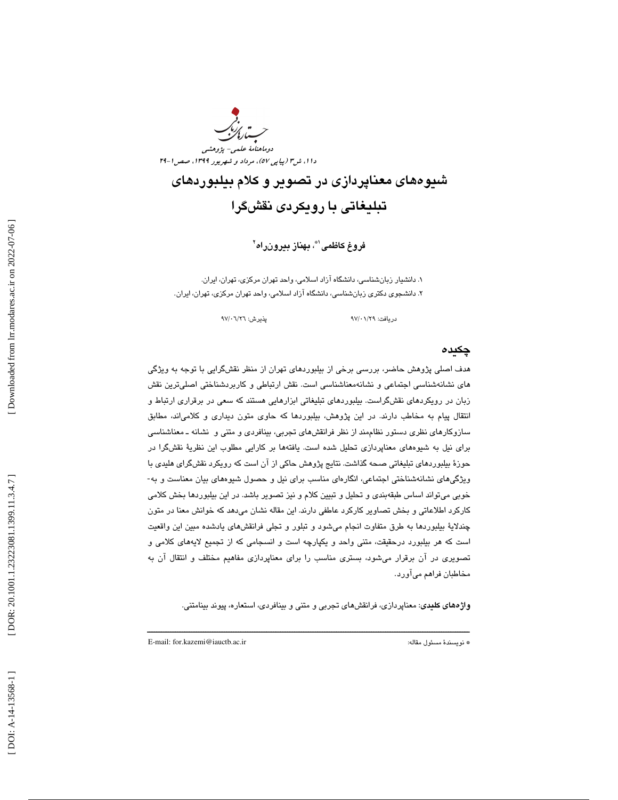

شيوههاي معناپردازي در تصوير و كلام بيلبوردهاي تبليغاتي با رويكردي نقشگرا

فروغ كاظمى`"، بهناز بيرونراه``

. 1 دانشيار زبانشناسي، دانشگاه آزاد اسلامي، واحد تهران مركزي، تهران، ايران. . 2 دانشجوي دكتري زبانشناسي، دانشگاه آزاد اسلامي، واحد تهران مركزي، تهران، ايران.

دريافت: 29/ 01/ 97 پذيرش: 26/ 06/ 97

#### چكيده

هدف اصلي پژوهش حاضر ، بررسي برخي از بيلبوردهاي تهران از منظر نقشگرايي با توجه به ويژگي هاي نشانهشناسي اجتماعي و نشانهمعناشناسي است. نقش ارتباطي و كاربردشناختي اصليترين نقش زبان در رويكردهاي نقشگراست. بيلبوردهاي تبليغاتي ابزارهايي هستند كه سعي در برقراري ارتباط و انتقال پيام به مخاطب دارند. در اين پژوهش، بيلبوردها كه حاوي متون ديداري و كلامي اند، مطابق سازوکارهای نظری دستور نظاممند از نظر فرانقشهای تجربی، بینافردی و متنی و نشانه ـ معناشناسی براي نيل به شيوه هاي معناپردازي تحليل شده است. يافتهها بر كارايي مطلوب اين نظرية نقشگرا در حوزة بيلبوردهاي تبليغاتي صحه گذاشت. نتايج پژوهش حاكي از آن است كه رويكرد نقشگراي هليدي با ويژگيهاي نشانهشناختي اجتماعي، انگارهاي مناسب براي نيل و حصول شيوههاي بيان معناست و به- خوبي ميتواند اساس طبقهبندي و تحليل و تبيين كلام و نيز تصوير باشد. در اين بيلبوردها بخش كلامي كاركرد اطلاعاتي و بخش تصاوير كاركرد عاطفي دارند. اين مقاله نشان ميدهد كه خوانش معنا در متون چندلاية بيلبوردها به طرق متفاوت انجام ميشود و تبلور و تجلي فرانقشهاي يادشده مبين اين واقعيت است كه هر بيلبورد درحقيقت ، متني واحد و يكپارچه است و انسجامي كه از تجميع لايههاي كلامي و تصويري در آن برقرار ميشود، بستري مناسب را براي معناپردازي مفاهيم مختلف و انتقال آن به مخاطبان فراهم ميآورد.

**واژههاي كليدي**: معناپردازي، فرانقشهاي تجربي و متني و بينافردي، استعاره، پيوند بينامتني.

ــــــــــــــــــــــــــــــــــــــــــــــــــــــــــــــــــــــــــــــــــــــــــــــــــــــــــــــــــــــــــــــــــــــــــ

E-mail: for.kazemi@iauctb.ac.ir :مقاله مسئول نويسندة\*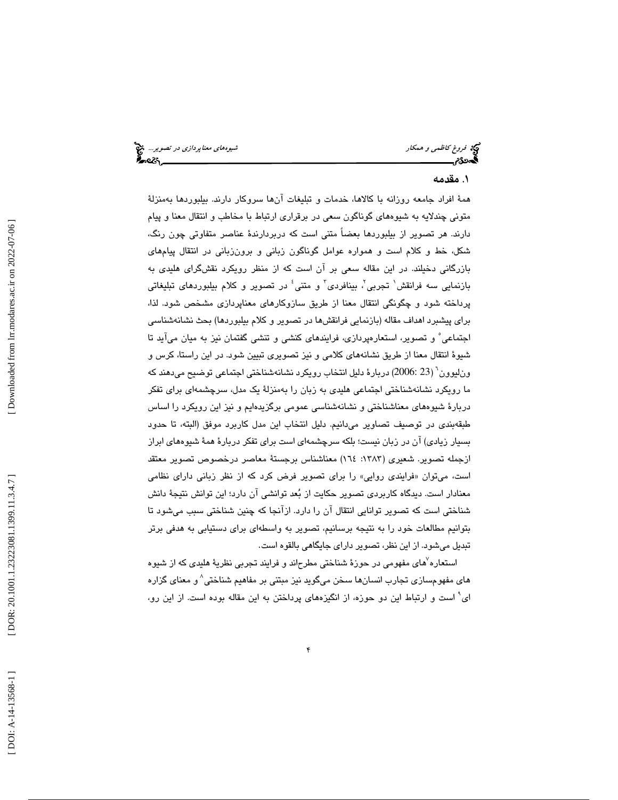#### . 1 مقدمه

4 فروغ كاظمي و همكار شيوههاي معناپردازي در تصوير... همة افراد جامعه روزانه با كالاها، خدمات و تبليغات آنها سروكار دارند. بيلبوردها بهمنزلة متوني چندلايه به شيوههاي گوناگون سعي در برقراري ارتباط با مخاطب و انتقال معنا و پيام دارند. هر تصوير از بيلبوردها بعضاً متني است كه دربردارندة عناصر متفاوتي چون رنگ، شكل، خط و كلام است و همواره عوامل گوناگون زباني و برونزباني در انتقال پيامهاي بازرگاني دخيلند. در اين مقاله سعي بر آن است كه از منظر رويكرد نقشگراي هليدي به بازنمايي سه فرانقش<sup>\</sup> تجربي<sup>7</sup>، بينافردى<sup>٢</sup> و متنى<sup>؛</sup> در تصوير و كلام بيلبورد*هاى* تبليغاتى پرداخته شود و چگونگي انتقال معنا از طريق سازوكارهاي معناپردازي مشخص شود. لذا، براي پيشبرد اهداف مقاله (بازنمايي فرانقشها در تصوير و كلام بيلبوردها) بحث نشانهشناسي اجتماعي 5 و تصوير، استعارهپردازي، فرايندهاي كنشي و تنشي گفتمان نيز به ميان ميآيد تا شيوة انتقال معنا از طريق نشانههاي كلامي و نيز تصويري تبيين شود. در اين راستا، كرس و ونليوون 6 ( 23 2006:) دربارة دليل انتخاب رويكرد نشانهشناختي اجتماعي توضيح ميدهند كه ما رويكرد نشانهشناختي اجتماعي هليدي به زبان را بهمنزلة يك مدل، سرچشمهاي براي تفكر دربارة شيوههاي معناشناختي و نشانهشناسي عمومي برگزيدهايم و نيز اين رويكرد را اساس طبقهبندي در توصيف تصاوير ميدانيم. دليل انتخاب اين مدل كاربرد موفق (البته، تا حدود بسيار زيادي) آن در زبان نيست؛ بلكه سرچشمهاي است براي تفكر دربارة همة شيوههاي ابراز ازجمله تصوير. شعيري (١٣٨٣: ١٦٤) معناشناس برجستة معاصر درخصوص تصوير معتقد است، ميتوان «فرايندي روايي» را براي تصوير فرض كرد كه از نظر زباني داراي نظامي معنادار است. ديدگاه كاربردي تصوير حكايت از بُعد توانشي آن دارد؛ اين توانش نتيجهٔ دانش شناختي است كه تصوير توانايي انتقال آن را دارد. ازآنجا كه چنين شناختي سبب ميشود تا بتوانيم مطالعات خود را به نتيجه برسانيم، تصوير به واسطهاي براي دستيابي به هدفي برتر تبديل مي شود. از اين نظر، تصوير داراي جايگاهي بالقوه است.

استعاره ٌهاي مفهومي در حوزهٔ شناختي مطرحاند و فرايند تجربي نظريهٔ هلي*دي* كه از شيوه هاي مفهومسازي تجارب انسانها سخن ميگويد نيز مبتني بر مفاهيم شناختي 8 و معناي گزاره ای<sup>۹</sup> است و ارتباط این دو حوزه، از انگیزه*ه*ای پرداختن به این مقاله بوده است. از این رو،<br>ا

 [\[ DOI: A-14-13568-1 \] \[ DOR: 2](http://dx.doi.org/A-14-13568-1)[0.1001.1.23223081.1399.11.3.4.7](https://dorl.net/dor/20.1001.1.23223081.1399.11.3.4.7) ] [\[ Downloaded from lrr.modares.ac.ir on 20](https://lrr.modares.ac.ir/article-14-16249-fa.html)22-07-06 ] Downloaded from lrr.modares.ac.ir on 2022-07-06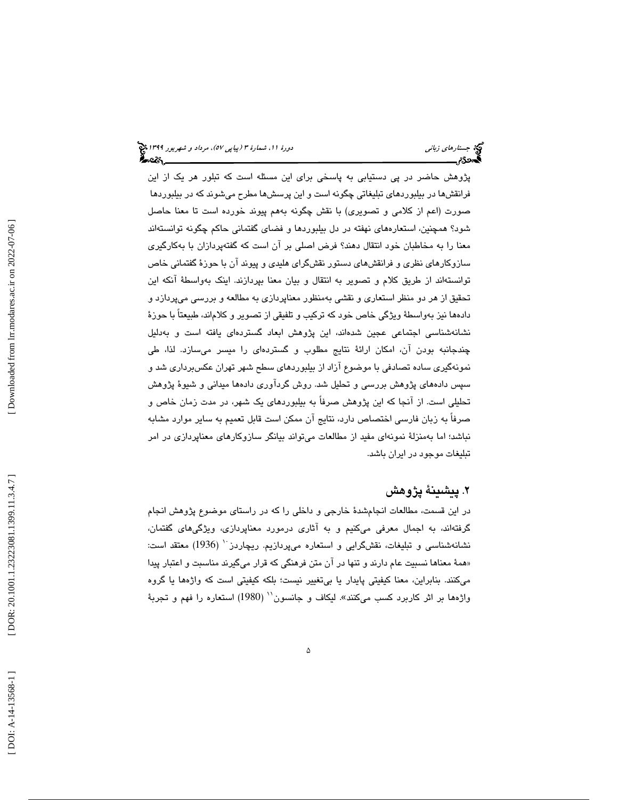مراهاي زب*اني*<br>فكرجيد من الدين المراهاة المراهاي المراهاي المراهاي المراهاي المراهاي المراهاي المراهاي المراهاي المراهاي المرا<br>الذي أيضاي دورة ،11 شمارة ،11 شمارة ،11 شمارة ،11 شمارة ،11 شمارة ،11 شمارة ،11 شمارة ،11 شمار پژوهش حاضر در پي دستيابي به پاسخي براي اين مسئله است كه تبلور هر يك از اين فرانقشها در بيلبوردهاي تبليغاتي چگونه است و اين پرسشها مطرح ميشوند كه در بيلبوردها صورت (اعم از كلامي و تصويري) با نقش چگونه بههم پيوند خورده است تا معنا حاصل شود؟ همچنين، استعارههاي نهفته در دل بيلبوردها و فضاي گفتماني حاكم چگونه توانستهاند معنا را به مخاطبان خود انتقال دهند؟ فرض اصلي بر آن است كه گفتهپردازان با بهكارگيري سازوكارهاي نظري و فرانقشهاي دستور نقشگراي هليدي و پيوند آن با حوزة گفتماني خاص توانستهاند از طريق كلام و تصوير به انتقال و بيان معنا بپردازند. اينك به واسطة آنكه اين تحقيق از هر دو منظر استعاري و نقشي بهمنظور معناپردازي به مطالعه و بررسي ميپردازد و دادهها نيز بهواسطة ويژگي خاص خود كه تركيب و تلفيقي از تصوير و كلاماند، طبيعتاً با حوزة نشانهشناسي اجتماعي عجين شدهاند، اين پژوهش ابعاد گستردهاي يافته است و بهدليل چندجانبه بودن آن، امكان ارائة نتايج مطلوب و گستردهاي را ميسر ميسازد. لذا، طي نمونهگيري ساده تصادفي با موضوع آزاد از بيلبوردهاي سطح شهر تهران عكسبرداري شد و سپس دادههاي پژوهش بررسي و تحليل شد. روش گردآوري دادهها ميداني و شيوة پژوهش تحليلي است. از آنجا كه اين پژوهش صرفاً به بيلبوردهاي يك شهر، در مدت زمان خاص و صرفاً به زبان فارسي اختصاص دارد، نتايج آن ممكن است قابل تعميم به ساير موارد مشابه نباشد؛ اما بهمنزلة نمونهاي مفيد از مطالعات ميتواند بيانگر سازوكارهاي معناپردازي در امر تبليغات موجود در ايران باشد.

## . پيشينة پژوهش 2

در اين قسمت، مطالعات انجامشدة خارجي و داخلي را كه در راستاي موضوع پژوهش انجام گرفتهاند، به اجمال معرفي ميكنيم و به آثاري درمورد معناپردازي، ويژگيهاي گفتمان، نشانهشناسی و تبلیغات، نقشگرایی و استعاره میپردازیم. ریچاردز `` (1936) معتقد است: «همهٔ معناها نسبیت عام دارند و تنها در ان متن فرهنگی كه قرار میگیرند مناسبت و اعتبار پیدا ميكنند. بنابراين، معنا كيفيتي پايدار يا بيتغيير نيست؛ بلكه كيفيتي است كه واژهها يا گروه واژهها بر اثر كاربرد كسب مىكنند». ليكاف و جانسون`` (1980) استعاره را فهم و تجربهٔ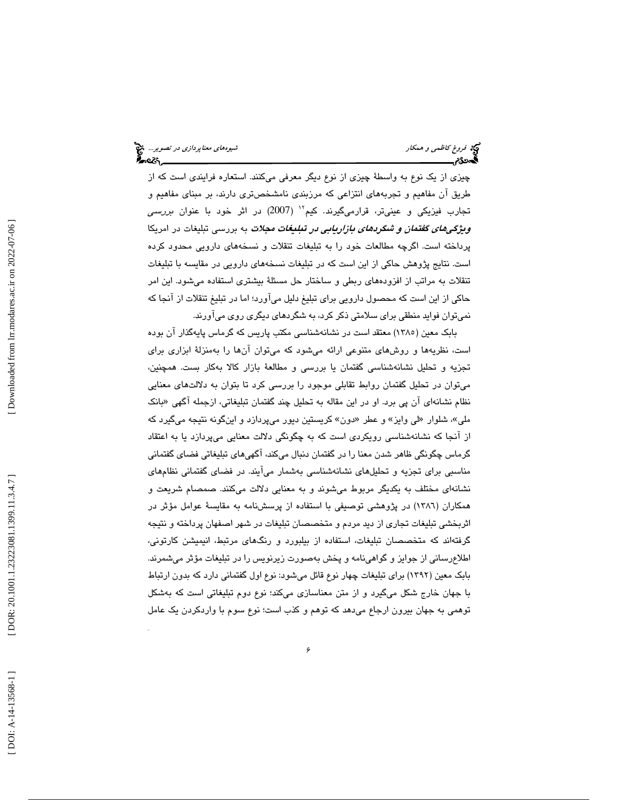چيزي از يك نوع به واسطة چيزي از نوع ديگر معرفي ميكنند. استعاره فرايندي است كه از طريق آن مفاهيم و تجربههاي انتزاعي كه مرزبندي نامشخصتري دارند، بر مبناي مفاهيم و تجارب فيزيكى و عينىتر، قرارمىگيرند. كيم<sup>۱۲</sup> (2007) در اثر خود با عنوان *بررسى* ويژگيهاي گفتمان و شگردهاي بازاريابي در تبليغات مجلات به بررسي تبليغات در امريكا پرداخته است. اگرچه مطالعات خود را به تبليغات تنقلات و نسخههاي دارويي محدود كرده است. نتايج پژوهش حاكي از اين است كه در تبليغات نسخههاي دارويي در مقايسه با تبليغات تنقلات به مراتب از افزودههاي ربطي و ساختار حل مسئلة بيشتري استفاده ميشود. اين امر حاكي از اين است كه محصول دارويي براي تبليغ دليل ميآورد؛ اما در تبليغ تنقلات از آنجا كه نميتوان فوايد منطقي براي سلامتي ذكر كرد، به شگردهاي ديگري روي ميآورند.

كن عمر الدي كاظمي درمايكار من المواد كم المواد كم المواد كم المواد كم المواد كم المواد كم المواد كم المواد كم <br>الذي انتخابت قدم المواد كم المواد كم المواد كم المواد كم المواد كم المواد كم المواد كم المواد كم المواد كم الم بابك معين (1385) معتقد است در نشانهشناسي مكتب پاريس كه گرماس پايهگذار آن بوده است، نظريهها و روشهاي متنوعي ارائه ميشود كه ميتوان آنها را بهمنزلة ابزاري براي تجزيه و تحليل نشانهشناسي گفتمان يا بررسي و مطالعة بازار كالا بهكار بست. همچنين، ميتوان در تحليل گفتمان روابط تقابلي موجود را بررسي كرد تا بتوان به دلالتهاي معنايي نظام نشانهای آن پی برد. او در این مقاله به تحلیل چند گفتمان تبلیغاتی، ازجمله آگهی «بانک ملي»، شلوار «لي وايز» و عطر «دون» كريستين ديور ميپردازد و اينگونه نتيجه ميگيرد كه از آنجا كه نشانهشناسي رويكردي است كه به چگونگي دلالت معنايي ميپردازد يا به اعتقاد گرماس چگونگی ظاهر شدن معنا را در گفتمان دنبال میکند، آگهی،ای تبلیغاتی فضای گفتمانی مناسبي براي تجزيه و تحليلهاي نشانهشناسي بهشمار ميآيند. در فضاي گفتماني نظامهاي نشانهاي مختلف به يكديگر مربوط ميشوند و به معنايي دلالت ميكنند. صمصام شريعت و همکاران (١٣٨٦) در پژوهشی توصیفی با استفاده از پرسشنامه به مقایسهٔ عوامل مؤثر در اثربخشي تبليغات تجاري از ديد مردم و متخصصان تبليغات در شهر اصفهان پرداخته و نتيجه گرفتهاند كه متخصصان تبليغات، استفاده از بيلبورد و رنگهاي مرتبط، انيميشن كارتوني، اطلاعرساني از جوايز و گواهينامه و پخش بهصورت زيرنويس را در تبليغات مؤثر ميشمرند. بابك معين (1392) براي تبليغات چهار نوع قائل ميشود: نوع اول گفتماني دارد كه بدون ارتباط با جهان خارج شكل ميگيرد و از متن معناسازي ميكند؛ نوع دوم تبليغاتي است كه بهشكل توهمي به جهان بيرون ارجاع ميدهد كه توهم و كذب است؛ نوع سوم با واردكردن يك عامل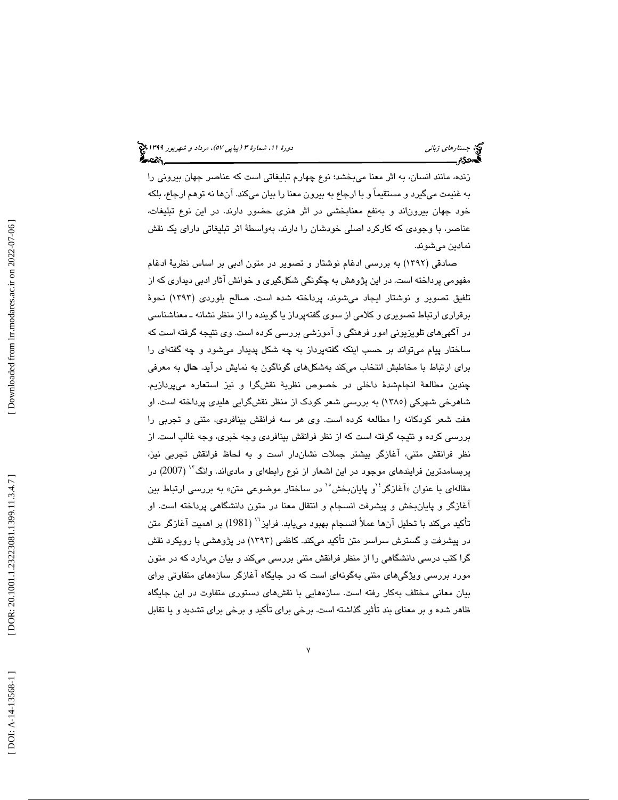زنده، مانند انسان، به اثر معنا ميبخشد؛ نوع چهارم تبليغاتي است كه عناصر جهان بيروني را به غنيمت ميگيرد و مستقيماً و با ارجاع به بيرون معنا را بيان ميكند. آنها نه توهم ارجاع، بلكه خود جهان بيروناند و بهنفع معنابخشي در اثر هنري حضور دارند. در اين نوع تبليغات، عناصر، با وجودي كه كاركرد اصلي خودشان را دارند، بهواسطة اثر تبليغاتي داراي يك نقش نمادين ميشوند.

شركة ، التناسل المدين المدين المدين المدين المدين المدين المدين المدين المدين المدين الشهائش المدين الذال المد<br>شكل المدين الذال المدين الذال المدين الذال المدين الذال المدين الذال المدين الذال المدين الذال المدين الذال ال صادقي (1392) به بررسي ادغام نوشتار و تصوير در متون ادبي بر اساس نظرية ادغام مفهومي پرداخته است. در اين پژوهش به چگونگي شكلگيري و خوانش آثار ادبي ديداري كه از تلفيق تصوير و نوشتار ايجاد ميشوند، پرداخته شده است. صالح بلوردي (1393) نحوة برقراري ارتباط تصويري و كلامي از سوي گفتهپرداز يا گوينده را از منظر نشانه ـ معناشناسي در آگهيهاي تلويزيوني امور فرهنگي و آموزشي بررسي كرده است. وي نتيجه گرفته است كه ساختار پيام ميتواند بر حسب اينكه گفتهپرداز به چه شكل پديدار ميشود و چه گفتهاي را براي ارتباط با مخاطبش انتخاب ميكند به شكلهاي گوناگون به نمايش درآيد. حال به معرفي چندين مطالعة انجامشدة داخلي در خصوص نظرية نقشگرا و نيز استعاره ميپردازيم. شاهرخي شهركي (1385) به بررسي شعر كودك از منظر نقشگرايي هليدي پرداخته است. او هفت شعر كودكانه را مطالعه كرده است. وي هر سه فرانقش بينافردي، متني و تجربي را بررسي كرده و نتيجه گرفته است كه از نظر فرانقش بينافردي وجه خبري، وجه غالب است. از نظر فرانقش متني، آغازگر بيشتر جملات نشاندار است و به لحاظ فرانقش تجربي نيز، پربسامدترين فرايندهاي موجود در اين اشعار از نوع رابطهاي و مادي\ند. وانگ<sup>۱۲</sup> (2007) در مقالهای با عنوان «آغازگر<sup>، ۱</sup>و پایانبخش<sup>۰٬</sup> در ساختار موضوعی متن» به بررسی ارتباط بین آغازگر و پايانبخش و پيشرفت انسجام و انتقال معنا در متون دانشگاهي پرداخته است. او تأكيد ميكند با تحليل آنها عملاً انسجام بهبود مي يابد. فرايز`` (1981) بر اهميت آغازگر متن در پيشرفت و گسترش سراسر متن تأكيد ميكند. كاظمي (١٣٩٣) در پژوهشي با رويكرد نقش گرا كتب درسي دانشگاهي را از منظر فرانقش متني بررسي ميكند و بيان ميدارد كه در متون مورد بررسي ويژگيهاي متني بهگونهاي است كه در جايگاه آغازگر سازههاي متفاوتي براي بيان معاني مختلف بهكار رفته است. سازههايي با نقشهاي دستوري متفاوت در اين جايگاه ظاهر شده و بر معناي بند تأثير گذاشته است. برخي براي تأكيد و برخي براي تشديد و يا تقابل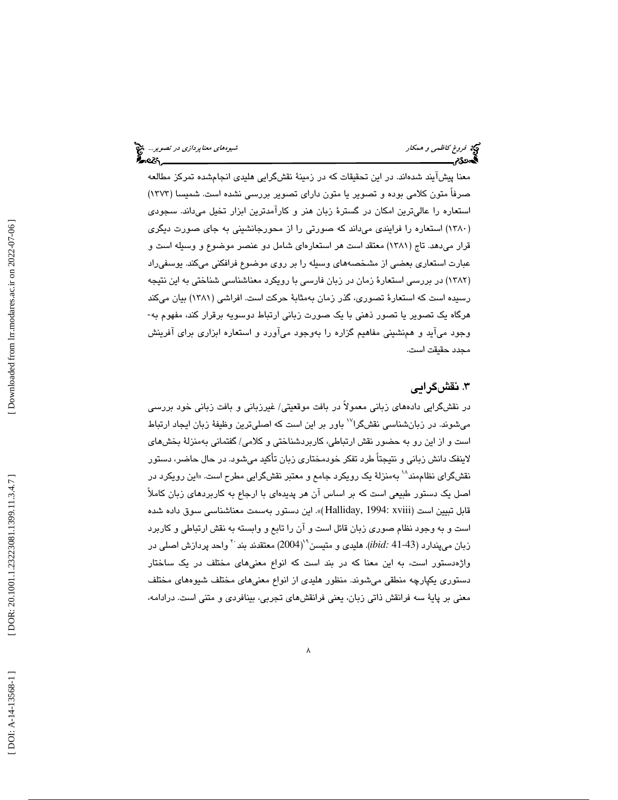معنا پيشآيند شدهاند. در اين تحقيقات كه در زمينهٔ نقشگرايي هليدي انجامشده تمركز مطالعه صرفاً متون كلامي بوده و تصوير يا متون داراي تصوير بررسي نشده است. شميسا (1373) استعاره را عاليترين امكان در گسترة زبان هنر و كارآمدترين ابزار تخيل ميداند. سجودي 1380) استعاره را فرايندي ميداند كه صورتي را از محورجانشيني به جاي صورت ديگري ) قرار ميدهد. تاج (1381) معتقد است هر استعارهاي شامل دو عنصر موضوع و وسيله است و عبارت استعاري بعضي از مشخصههاي وسيله را بر روي موضوع فرافكني ميكند. يوسفيراد (١٣٨٢) در بررسي استعارهٔ زمان در زبان فارسي با رويكرد معناشناسي شناختي به اين نتيجه رسیده است كه استعارهٔ تصوری، گذر زمان بهمثابهٔ حركت است. افراشی (۱۳۸۱) بیان میكند<br>هرگاه یک تصویر یا تصور ذهنی با یک صورت زبانی ارتباط دوسویه برقرار كند، مفهوم به-وجود ميآيد و همنشيني مفاهيم گزاره را بهوجود ميآورد و استعاره ابزاري براي آفرينش مجدد حقيقت است.

### .3 نقشگرايي

8 فروغ كاظمي و همكار شيوههاي معناپردازي در تصوير... در نقشگرايي دادههاي زباني معمولاً در بافت موقعيتي/ غيرزباني و بافت زباني خود بررسي میشوند. در زبانشناسی نقشگرا<sup>۱۷</sup> باور بر این است که اصلیترین وظیفهٔ زبان ایجاد ارتباط است و از اين رو به حضور نقش ارتباطي، كاربردشناختي و كلامي/ گفتماني بهمنزلة بخشهاي لاينفك دانش زباني و نتيجتاً طرد تفكر خودمختاري زبان تأكيد ميشود. در حال حاضر، دستور نقشگرای نظاممند<sup>۱۸</sup> بهمنزلهٔ یک رویکرد جامع و معتبر نقشگرایی مطرح است. «این رویکرد در اصل يك دستور طبيعي است كه بر اساس آن هر پديدهاي با ارجاع به كاربردهاي زبان كاملاً قابل تبيين است (xviii 1994: ,Halliday«( . اين دستور بهسمت معناشناسي سوق داده شده است و به وجود نظام صوري زبان قائل است و آن را تابع و وابسته به نقش ارتباطي و كاربرد زبان میپندارد (43-41 *:bid*). هلیدی و متیسن\*'(2004) معتقدند بند <sup>۲۰</sup> واحد پردازش اصلی در واژهدستور است، به اين معنا كه در بند است كه انواع معنيهاي مختلف در يك ساختار دستوري يكپارچه منطقي ميشوند. منظور هليدي از انواع معنيهاي مختلف شيوههاي مختلف معني بر پاية سه فرانقش ذاتي زبان، يعني فرانقشهاي تجربي، بينافردي و متني است. درادامه،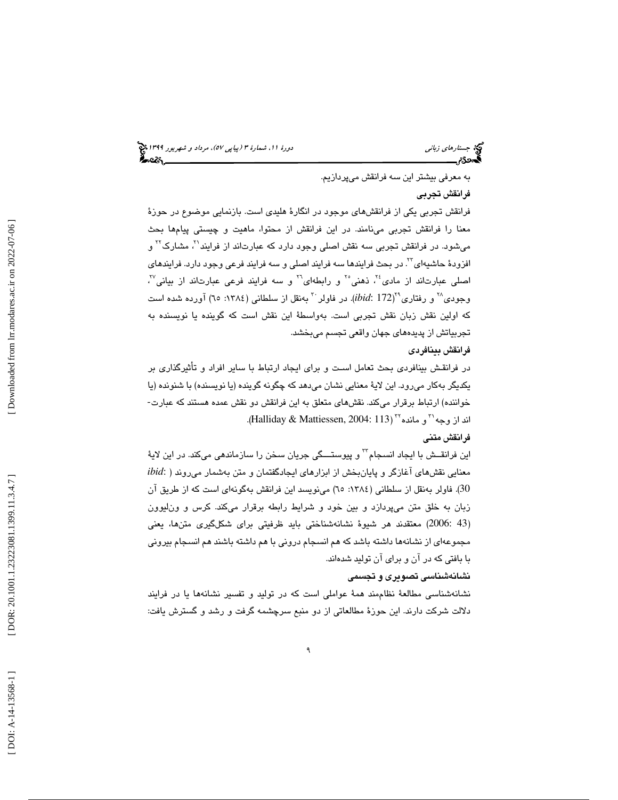به معرفي بيشتر اين سه فرانقش ميپردازيم.

#### فرانقش تجربي

حرامای زباني<br>فرانس المورد التي تمام التي تمام التي تمام التي تمام التي تمام التي تمام التي تمام التي تمام التي ا<br>ثاني دورة ، انتشار التي تمام التي تمام التي تمام التي تمام التي تمام التي تمام التي تمام التي تمام التي تمام فرانقش تجربي يكي از فرانقشهاي موجود در انگارة هليدي است. بازنمايي موضوع در حوزة معنا را فرانقش تجربي مينامند. در اين فرانقش از محتوا، ماهيت و چيستي پيامها بحث میشود. در فرانقش تجربی سه نقش اصلی وجود دارد که عبارتاند از فرایند<sup>۲۱</sup>، مشارک<sup>۲۲</sup> و افزودهٔ حاشیهای<sup>۲۲</sup>. در بحث فرایندها سه فرایند اصلی و سه فرایند فرعی وجود دارد. فرایند*ه*ای اصلی عبارتاند از مادی<sup>٢٤</sup>، ذهنی°<sup>٢</sup> و رابطهای™ و سه فرایند فرعی عبارتاند از بیانی™، وجودی<sup>7⁄2</sup> و رفتاری°<sup>۲</sup>(ibid: 172). در فاولر <sup>۳۰</sup> بهنقل از سلطانی (۱۳۸٤: ٦٥) آورده شده است كه اولين نقش زبان نقش تجربي است. بهواسطة اين نقش است كه گوينده يا نويسنده به تجربياتش از پديدههاي جهان واقعي تجسم ميبخشد. 

#### فرانقش بينافردي

در فرانقـش بينافردي بحث تعامل اسـت و براي ايجاد ارتباط با ساير افراد و تأثيرگذاري بر یکدیگر بهکار میرود. این لایهٔ معنایی نشان میدهد که چگونه گوینده (یا نویسنده) با شنونده (یا<br>خواننده) ارتباط برقرار میکند. نقشهای متعلق به این فرانقش دو نقش عمده هستند که عبارت-اند از وجه `` و مانده `` (Halliday & Mattiessen, 2004: 113).

#### فرانقش متني

اين فرانقــش با ايجاد انسـجام<sup>۳۲</sup> و پيوستـــگي جريان سـخن را سازماندهي ميكند. در اين لايهٔ *ibid*: معنايي نقشهاي آغازگر و پايانبخش از ابزارهاي ايجادگفتمان و متن بهشمار ميروند ( 30). فاولر بهنقل از سلطاني (:1384 65) مينويسد اين فرانقش بهگونهاي است كه از طريق آن زبان به خلق متن ميپردازد و بين خود و شرايط رابطه برقرار ميكند. كرس و ونليوون 43 2006:) معتقدند هر شيوة نشانهشناختي بايد ظرفيتي براي شكلگيري متنها، يعني ) مجموعهاي از نشانهها داشته باشد كه هم انسجام دروني با هم داشته باشند هم انسجام بيروني با بافتي كه در آن و براي آن توليد شدهاند.

#### نشانهشناسي تصويري و تجسمي

نشانهشناسي مطالعة نظاممند همة عواملي است كه در توليد و تفسير نشانهها يا در فرايند دلالت شركت دارند. اين حوزة مطالعاتي از دو منبع سرچشمه گرفت و رشد و گسترش يافت: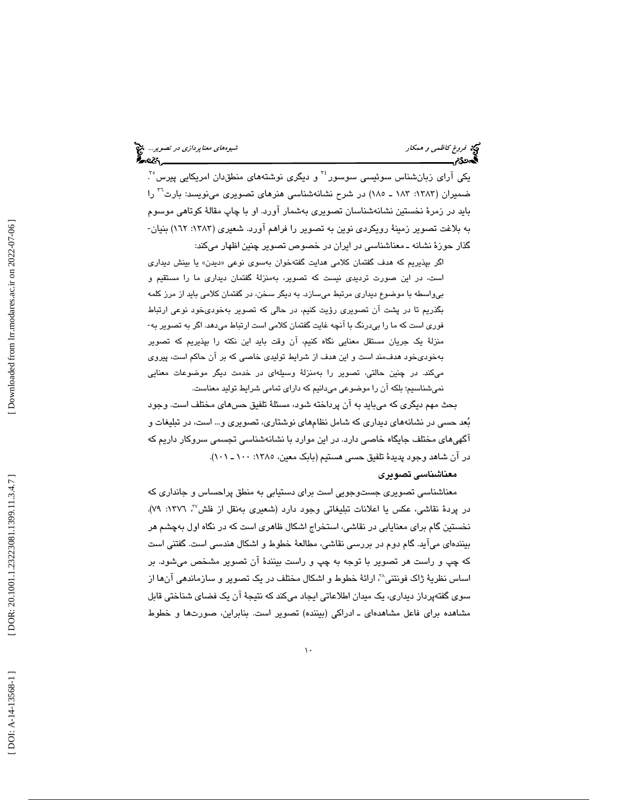یکی آرای زبانشناس سوئیسی سوسور<sup>،۳</sup> و دیگری نوشتههای منطقدان امریکایی پیرس°<sup>۳</sup>. ضمیران (۱۳۸۳: ۱۸۳ ـ ۱۸۵) در شرح نشانهشناسی هنرهای تصویری مینویسد: بارت<sup>۲۰</sup> را بايد در زمرهٔ نخستين نشانهشناسان تصويري بهشمار آورد. او با چاپ مقالهٔ كوتاهي موسوم به بلاغت تصوير زمينة رويكردي نوين به تصوير را فراهم آورد. شعيري (:1383 162) بنيان- گذار حوزهٔ نشانه ـ معناشناسی در ایران در خصوص تصویر چنین اظهار میکند:

گر بپذيريم كه هدف گفتمان كلامی هدايت گفتهخوان بهسوی نوعی «ديدن» يا بينش ديداری ا.<br>ا است، در اين صورت ترديدي نيست كه تصوير، بهمنزلة گفتمان ديداري ما را مستقيم و بيواسطه با موضوع ديداري مرتبط ميسازد. به ديگر سخن ، در گفتمان كلامي بايد از مرز كلمه بگذريم تا در پشت آن تصويري رؤيت كنيم ، در حالي كه تصوير بهخوديخود نوعي ارتباط فوري است كه ما را بيدرنگ با آنچه غايت گفتمان كلامي است ارتباط ميدهد. اگر به تصوير به- منزلة يك جريان مستقل معنايي نگاه كنيم، آن وقت بايد اين نكته را بپذيريم كه تصوير بهخوديخود هدف مند است و اين هدف از شرايط توليدي خاصي كه بر آن حاكم است، پيروي مي كند. در چنين حالتي، تصوير را بهمنزلة وسيله اي در خدمت ديگر موضوعات معنايي نمي شناسيم؛ بلكه آن را موضوعي مي دانيم كه داراي تمامي شرايط توليد معناست.

بحث مهم ديگري كه ميبايد به آن پرداخته شود، مسئلهٔ تلفيق حسهاي مختلف است. وجود بعد حسي در نشانههاي ديداري كه شامل نظامهاي نوشتاري، تصويري و... است، در تبليغات و آگهيهاي مختلف جايگاه خاصي دارد. در اين موارد با نشانهشناسي تجسمي سروكار داريم كه در آن شاهد وجود پديدة تلفيق حسي هستيم (بابک معين، ١٣٨٥: ١٠٠ ـ ١٠١).

#### معناشناسي تصويري

معناشناسی تصویری جستوجویی است برای دستیابی به منطق پراحساس و جانداری كه ، :1376 79). <sup>37</sup> در پردة نقاشي، عكس يا اعلانات تبليغاتي وجود دارد (شعيري بهنقل از فلش نخستين گام براي معنايابي در نقاشي، استخراج اشكال ظاهري است كه در نگاه اول بهچشم هر بينندهاي ميآيد. گام دوم در بررسي نقاشي، مطالعة خطوط و اشكال هندسي است. گفتني است كه چپ و راست هر تصوير با توجه به چپ و راست بينندة آن تصوير مشخص ميشود. بر اساس نظرية ژاک فونتني^'، ارائهٔ خطوط و اشکال مختلف در يک تصوير و سازماندهي آنها از سوي گفتهپرداز ديداري، يك ميدان اطلاعاتي ايجاد ميكند كه نتيجة آن يك فضاي شناختي قابل مشاهده برای فاعل مشاهدهای ــ ادراکی (بیننده) تصویر است. بنابراین، صورتها و خطوط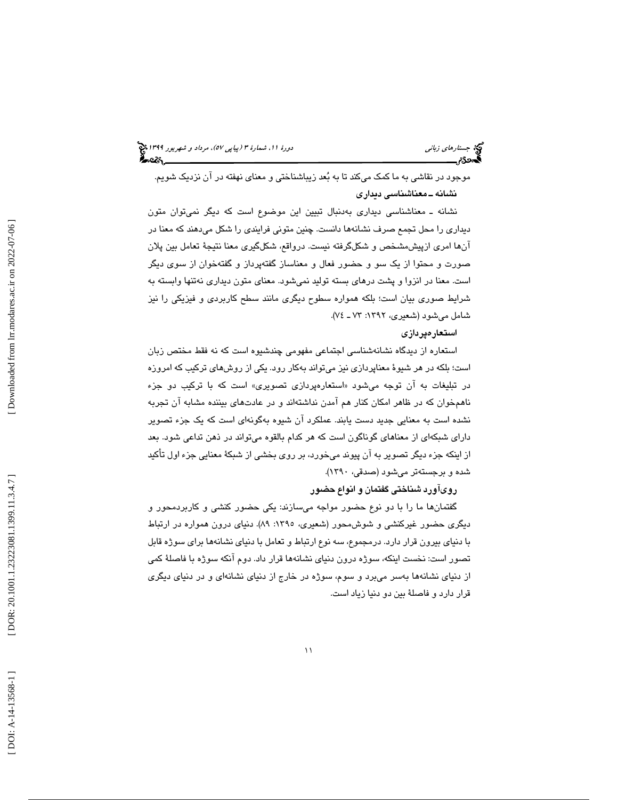# جستارها*ي زباني (هي دورة 1391 هـ* مرداد و شهريور 1191 هجري 1394 هجريور 1394 هجريور 1394 هجريور 1394 هجريور 1394

موجود در نقاشي به ما كمك ميكند تا به بعد زيباشناختي و معناي نهفته در آن نزديك شويم. نشانه ـ معناشناسي ديداري

نشانه ـ معناشناسي ديداري بهدنبال تبيين اين موضوع است كه ديگر نميتوان متون ديداري را محل تجمع صرف نشانهها دانست. چنين متوني فرايندي را شكل ميدهند كه معنا در آنها امري ازپيشمشخص و شكلگرفته نيست. درواقع، شكلگيري معنا نتيجة تعامل بين پلان صورت و محتوا از يك سو و حضور فعال و معناساز گفتهپرداز و گفتهخوان از سوي ديگر است. معنا در انزوا و پشت درهاي بسته توليد نميشود. معناي متون ديداري نهتنها وابسته به شرايط صوري بيان است؛ بلكه همواره سطوح ديگري مانند سطح كاربردي و فيزيكي را نيز شامل ميشود (شعيري، :1392 ـ 73 )74.

#### استعارهپردازي

استعاره از ديدگاه نشانهشناسي اجتماعي مفهومي چندشيوه است كه نه فقط مختص زبان است؛ بلكه در هر شيوة معناپردازي نيز ميتواند بهكار رود. يكي از روشهاي تركيب كه امروزه در تبليغات به ان توجه میشود «استعارهپرداز*ی* تصویری» است که با ترکیب دو جزء ناهمخوان كه در ظاهر امكان كنار هم آمدن نداشتهاند و در عادتهاي بيننده مشابه آن تجربه نشده است به معنايي جديد دست يابند. عملكرد آن شيوه بهگونهاي است كه يك جزء تصوير داراي شبكهاي از معناهاي گوناگون است كه هر كدام بالقوه ميتواند در ذهن تداعي شود. بعد از اينكه جزء ديگر تصوير به آن پيوند ميخورد، بر روي بخشي از شبكة معنايي جزء اول تأكيد شده و برجستهتر ميشود (صدقي، 1390).

#### رويآورد شناختي گفتمان و انواع حضور

گفتمانها ما را با دو نوع حضور مواجه ميسازند: يكي حضور كنشي و كاربردمحور و ديگري حضور غيركنشي و شوشمحور (شعيري، :1395 89). دنياي درون همواره در ارتباط با دنياي بيرون قرار دارد. درمجموع، سه نوع ارتباط و تعامل با دنياي نشانهها براي سوژه قابل تصور است: نخست اينكه، سوژه درون دنياي نشانهها قرار داد. دوم آنكه سوژه با فاصلة كمي از دنياي نشانهها بهسر ميبرد و سوم، سوژه در خارج از دنياي نشانهاي و در دنياي ديگري قرار دارد و فاصلة بين دو دنيا زياد است.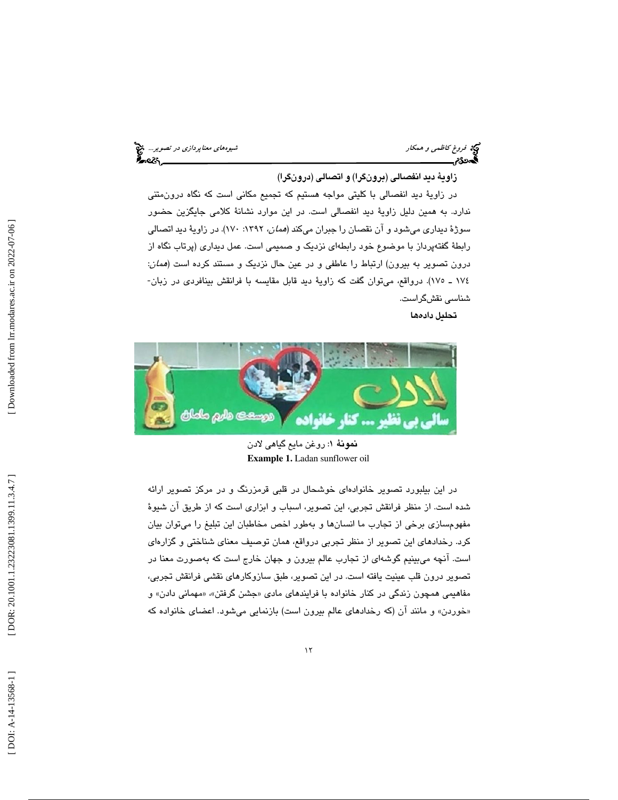فروغ كاظمى و همكار شيوههاي معناپرد*ازى در تصوير...*. في معناپرد*ازى در تصوير...*. في معناپردازي در تصوير... في<br>**السمن در تصوير** 

#### زاوية ديد انفصالي (برونگرا) و اتصالي (درونگرا)

در زاوية ديد انفصالي با كليتي مواجه هستيم كه تجميع مكاني است كه نگاه درونمتني ندارد. به همين دليل زاوية ديد انفصالي است. در اين موارد نشانة كلامي جايگزين حضور سوژهٔ دیداری میشود و آن نقصان را جبران میکند (*همان*، ۱۳۹۲: ۱۷۰). در زاویهٔ دید اتصالی رابطة گفتهپرداز با موضوع خود رابطهاي نزديك و صميمي است. عمل ديداري (پرتاب نگاه از درون تصوير به بيرون) ارتباط را عاطفي و در عين حال نزديك و مستند كرده است (همان: 174 ـ 175). درواقع، ميتوان گفت كه زاوية ديد قابل مقايسه با فرانقش بينافردي در زبان- شناسي نقشگراست.

تحليل دادهها



نمونة 1: روغن مايع گياهي لادن **Example 1.** Ladan sunflower oil

در اين بيلبورد تصوير خانوادهاي خوشحال در قلبي قرمزرنگ و در مركز تصوير ارائه شده است. از منظر فرانقش تجربي، اين تصوير، اسباب و ابزاري است كه از طريق آن شيوة مفهومسازي برخي از تجارب ما انسانها و بهطور اخص مخاطبان اين تبليغ را ميتوان بيان كرد. رخدادهاي اين تصوير از منظر تجربي درواقع، همان توصيف معناي شناختي و گزارهاي است. آنچه ميبينيم گوشهاي از تجارب عالم بيرون و جهان خارج است كه بهصورت معنا در تصوير درون قلب عينيت يافته است. در اين تصوير، طبق سازوكارهاي نقشي فرانقش تجربي، مفاهیمی همچون زندگی در کنار خانواده با فرایندهای مادی «جشن گرفتن»، «مهمانی دادن» و «خوردن» و مانند آن (كه رخدادهای عالم بیرون است) بازنمایی میشود. اعضای خانواده كه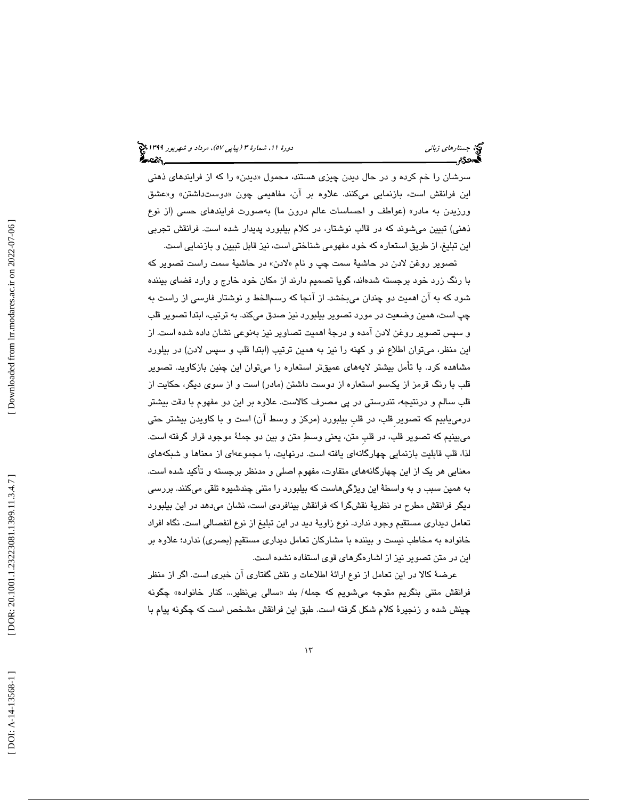سرشان را خم كرده و در حال ديدن چيز*ى* هستند، محمول «ديدن» را كه از فرايندهاى ذهني اين فرانقش است، بازنمايي ميكنند. علاوه بر آن، مفاهيمي چون «دوستداشتن» و«عشق ورزيدن به مادر» (عواطف و احساسات عالم درون ما) بهصورت فرايندهاي حسي (از نوع ذهني) تبيين ميشوند كه در قالب نوشتار، در كلام بيلبورد پديدار شده است. فرانقش تجربي اين تبليغ، از طريق استعاره كه خود مفهومي شناختي است، نيز قابل تبيين و بازنمايي است.

تصوير روغن لادن در حاشيهٔ سمت چپ و نام «لادن» در حاشيهٔ سمت راست تصوير كه با رنگ زرد خود برجسته شدهاند، گويا تصميم دارند از مكان خود خارج و وارد فضاي بيننده شود كه به آن اهميت دو چندان ميبخشد. از آنجا كه رسمالخط و نوشتار فارسي از راست به چپ است، همين وضعيت در مورد تصوير بيلبورد نيز صدق ميكند. به ترتيب، ابتدا تصوير قلب و سپس تصوير روغن لادن آمده و درجة اهميت تصاوير نيز بهنوعي نشان داده شده است. از اين منظر، ميتوان اطلاع نو و كهنه را نيز به همين ترتيب (ابتدا قلب و سپس لادن) در بيلورد مشاهده كرد. با تأمل بيشتر لايههاي عميقتر استعاره را ميتوان اين چنين بازكاويد. تصوير قلب با رنگ قرمز از يكسو استعاره از دوست داشتن (مادر) است و از سوي ديگر، حكايت از قلب سالم و درنتيجه، تندرستي در پي مصرف كالاست. علاوه بر اين دو مفهوم با دقت بيشتر درمييابيم كه تصوير ِقلب، در قلبِ بيلبورد (مركز و وسط آن) است و با كاويدن بيشتر حتي ميبينيم كه تصوير قلب، در قلبِ متن، يعني وسط متن و بين دو جملة موجود قرار گرفته است. لذا، قلب قابليت بازنمايي چهارگانهاي يافته است. درنهايت، با مجموعهاي از معناها و شبك ههاي معنايي هر يك از اين چهارگانههاي متفاوت، مفهوم اصلي و مدنظر برجسته و تأكيد شده است. به همين سبب و به واسطة اين ويژگيهاست كه بيلبورد را متني چندشيوه تلقي ميكنند. بررسي ديگر فرانقش مطرح در نظرية نقشگرا كه فرانقش بينافردي است، نشان ميدهد در اين بيلبورد تعامل ديداري مستقيم وجود ندارد. نوع زاوية ديد در اين تبليغ از نوع انفصالي است. نگاه افراد خانواده به مخاطب نيست و بيننده با مشاركان تعامل ديداري مستقيم (بصري) ندارد؛ علاوه بر اين در متن تصوير نيز از اشارهگرهاي قوي استفاده نشده است.

عرضة كالا در اين تعامل از نوع ارائة اطلاعات و نقش گفتاري آن خبري است. اگر از منظر فرانقش متنی بنگریم متوجه میشویم که جمله/ بند «سالی بینظیر… کنار خانواده» چگونه چينش شده و زنجيرة كلام شكل گرفته است. طبق اين فرانقش مشخص است كه چگونه پيام با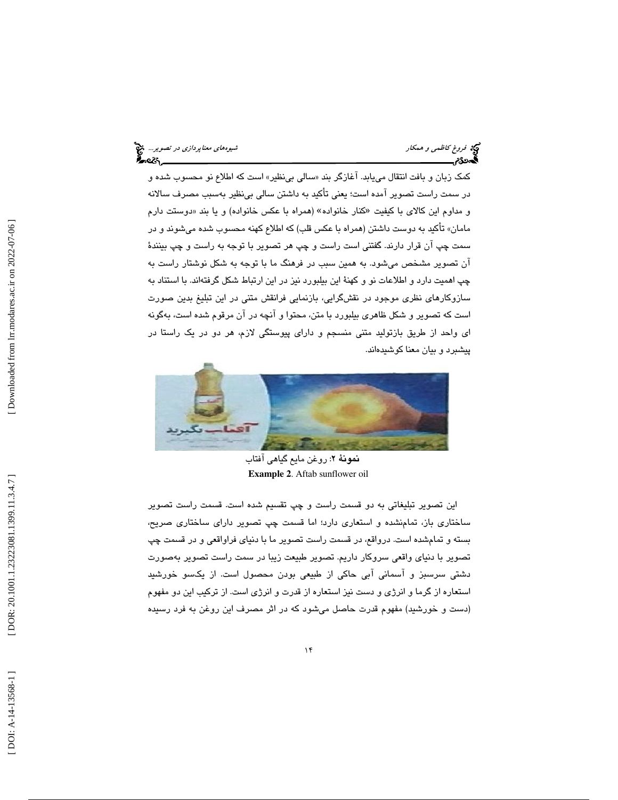فروغ كاظمى و همكار شيوههاي معناپرد*ازى در تصوير..*. في معناپرد*ازى در تصوير...*<br>**گيهن53م <u>شيوههاي معنا</u>ر معنا**ك معناپردازي معناپردازي معناپردازي معناپردازي در تصوير...

كمک زبان و بافت انتقال مییابد. اغازگر بند «سالی بیiظیر» است که اطلاع نو محسوب شده و در سمت راست تصوير آمده است؛ يعني تأكيد به داشتن سالي بينظير بهسبب مصرف سالانه و مداوم این کالای با کیفیت «کنار خانواده» (همراه با عکس خانواده) و یا بند «دوستت دارم مامان» تأكيد به دوست داشتن (همراه با عكس قلب) كه اطلاع كهنه محسوب شده ميشوند و در سمت چپ آن قرار دارند. گفتني است راست و چپ هر تصوير با توجه به راست و چپ بينندة آن تصوير مشخص ميشود. به همين سبب در فرهنگ ما با توجه به شكل نوشتار راست به چپ اهميت دارد و اطلاعات نو و كهنة اين بيلبورد نيز در اين ارتباط شكل گرفتهاند. با استناد به سازوكارهاي نظري موجود در نقشگرايي، بازنمايي فرانقش متني در اين تبليغ بدين صورت است كه تصوير و شكل ظاهري بيلبورد با متن، محتوا و آنچه در آن مرقوم شده است، بهگونه اي واحد از طريق بازتوليد متني منسجم و داراي پيوستگي لازم، هر دو در يك راستا در پيشبرد و بيان معنا كوشيدهاند.



نمونة 2: روغن مايع گياهي آفتاب **Example 2**. Aftab sunflower oil

اين تصوير تبليغاتي به دو قسمت راست و چپ تقسيم شده است. قسمت راست تصوير ساختاري باز، تمامنشده و استعاري دارد؛ اما قسمت چپ تصوير داراي ساختاري صريح، بسته و تمامشده است. درواقع، در قسمت راست تصوير ما با دنياي فراواقعي و در قسمت چپ تصوير با دنياي واقعي سروكار داريم. تصوير طبيعت زيبا در سمت راست تصوير بهصورت دشتي سرسبز و آسماني آبي حاكي از طبيعي بودن محصول است. از يكسو خورشيد استعاره از گرما و انرژي و دست نيز استعاره از قدرت و انرژي است. از تركيب اين دو مفهوم (دست و خورشيد) مفهوم قدرت حاصل ميشود كه در اثر مصرف اين روغن به فرد رسيده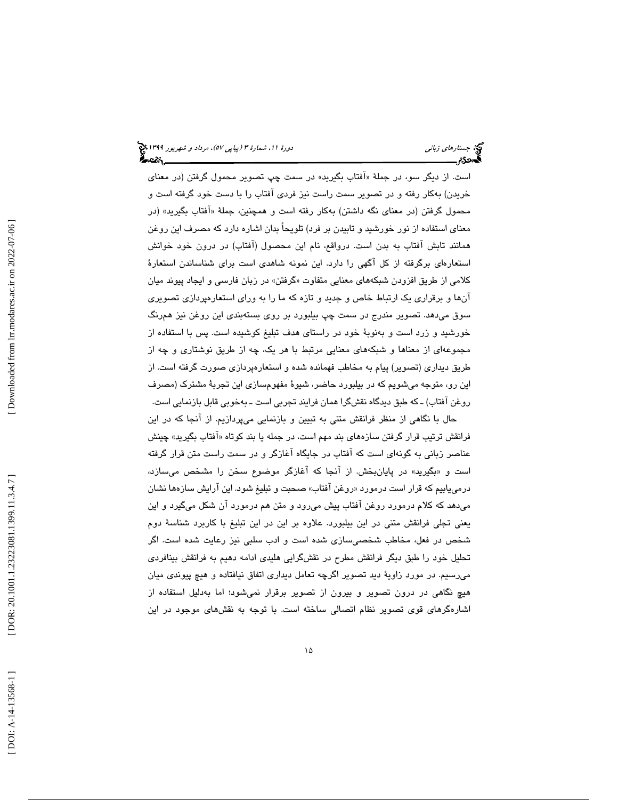است. از ديگر سو، در جملهٔ «افتاب بگيريد» در سمت چپ تصوير محمول گرفتن (در معنا*ی* خريدن) بهكار رفته و در تصوير سمت راست نيز فردي آفتاب را با دست خود گرفته است و محمول گرفتن (در معنای نگه داشتن) بهکار رفته است و همچنین، جملهٔ «افتاب بگیرید» (در معناي استفاده از نور خورشيد و تابيدن بر فرد) تلويحاً بدان اشاره دارد كه مصرف اين روغن همانند تابش آفتاب به بدن است. درواقع، نام اين محصول (آفتاب) در درون خود خوانش استعارهاي برگرفته از كل آگهي را دارد. اين نمونه شاهدي است براي شناساندن استعارة كلامي از طريق افزودن شبكههاي معنايي متفاوت «گرفتن» در زبان فارسي و ايجاد پيوند ميان آنها و برقراري يك ارتباط خاص و جديد و تازه كه ما را به وراي استعارهپردازي تصويري سوق ميدهد. تصوير مندرج در سمت چپ بيلبورد بر روي بستهبندي اين روغن نيز همرنگ خورشيد و زرد است و بهنوبة خود در راستاي هدف تبليغ كوشيده است. پس با استفاده از مجموعهاي از معناها و شبكههاي معنايي مرتبط با هر يك، چه از طريق نوشتاري و چه از طريق ديداري (تصوير) پيام به مخاطب فهمانده شده و استعارهپردازي صورت گرفته است. از اين رو، متوجه ميشويم كه در بيلبورد حاضر، شيوة مفهومسازي اين تجربة مشترك (مصرف روغن آفتاب) ـ كه طبق ديدگاه نقشگرا همان فرايند تجربي است ـ بهخوبي قابل بازنمايي است.

حال با نگاهي از منظر فرانقش متني به تبيين و بازنمايي ميپردازيم. از آنجا كه در اين فرانقش ترتيب قرار گرفتن سازههای بند مهم است، در جمله يا بند کوتاه «افتاب بگيريد» چينش عناصر زباني به گونهاي است كه آفتاب در جايگاه آغازگر و در سمت راست متن قرار گرفته است و «بگيريد» در پايانبخش. از انجا كه اغازگر موضوع سخن را مشخص ميسازد، درميeابيم كه قرار است درمورد «روغن افتاب» صحبت و تبليغ شود. اين ارايش سازهها نشان ميدهد كه كلام درمورد روغن آفتاب پيش ميرود و متن هم درمورد آن شكل ميگيرد و اين يعني تجلي فرانقش متني در اين بيلبورد. علاوه بر اين در اين تبليغ با كاربرد شناسة دوم شخص در فعل، مخاطب شخصيسازي شده است و ادب سلبي نيز رعايت شده است. اگر تحليل خود را طبق ديگر فرانقش مطرح در نقشگرايي هليدي ادامه دهيم به فرانقش بينافردي ميرسيم. در مورد زاوية ديد تصوير اگرچه تعامل ديداري اتفاق نيافتاده و هيچ پيوندي ميان هيچ نگاهي در درون تصوير و بيرون از تصوير برقرار نميشود؛ اما بهدليل استفاده از اشارهگرهاي قوي تصوير نظام اتصالي ساخته است. با توجه به نقشهاي موجود در اين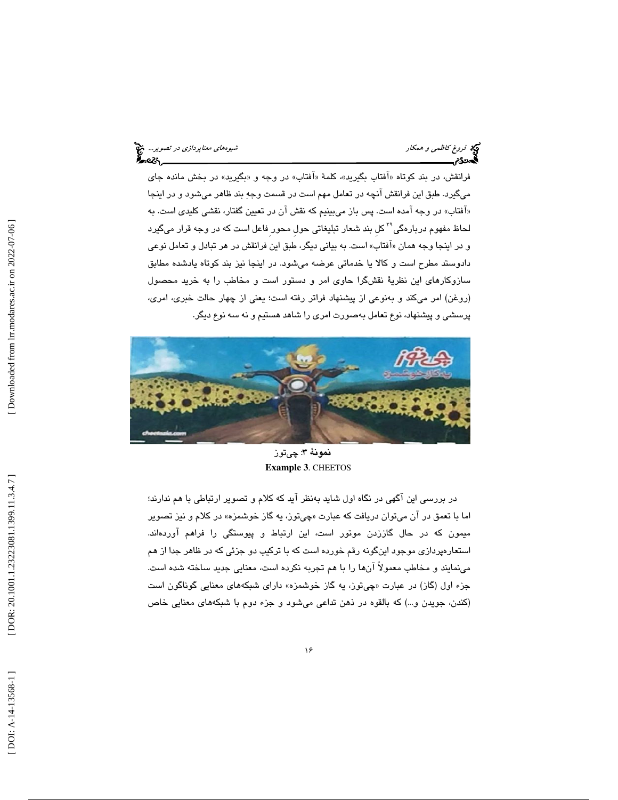فروغ كاظمى و همكار شيوههاي معناپرد*ازى در تصوير..*. في معناپرد*ازى در تصوير...*<br>**گيهن53م بيروه معناپردازي معناپردازن در تصوير معناپردازي معناپردازي در تصوير به معناپردازي در تصوير...**<br>**گيهن53م** 

فرانقش، در بند كوتاه «افتاب بگيريد»، كلمهٔ «افتاب» در وجه و «بگيريد» در بخش مانده جای ميگيرد. طبق اين فرانقش آنچه در تعامل مهم است در قسمت وجه بند ظاهر ميشود و در اينجا «افتاب» در وجه امده است. پس باز میبینیم كه نقش ان در تعیین گفتار، نقشی كلیدی است. به لحاظ مفهوم دربارهگی<sup>۲۹</sup> کل بند شعار تبلیغاتی حولِ محور<sub>ِ</sub> فاعل است که در وجه قرار میگیرد و در اينجا وجه همان «افتاب» است. به بياني ديگر، طبق اين فرانقش در هر تبادل و تعامل نوعي دادوستد مطرح است و كالا يا خدماتي عرضه ميشود. در اينجا نيز بند كوتاه يادشده مطابق سازوكارهاي اين نظرية نقشگرا حاوي امر و دستور است و مخاطب را به خريد محصول (روغن) امر ميكند و بهنوعي از پيشنهاد فراتر رفته است؛ يعني از چهار حالت خبري، امري، پرسشي و پيشنهاد، نوع تعامل بهصورت امري را شاهد هستيم و نه سه نوع ديگر.



نمونة 3: چيتوز **Example 3**. CHEETOS

در بررسي اين آگهي در نگاه اول شايد بهنظر آيد كه كلام و تصوير ارتباطي با هم ندارند؛ اما با تعمق در ان ميتوان دريافت كه عبارت «چيتوز، يه گاز خوشمزه» در كلام و نيز تصوير ميمون كه در حال گاززدن موتور است، اين ارتباط و پيوستگي را فراهم آوردهاند. استعارهپردازي موجود اينگونه رقم خورده است كه با تركيب دو جزئي كه در ظاهر جدا از هم مينمايند و مخاطب معمولاً آنها را با هم تجربه نكرده است، معنايي جديد ساخته شده است. جزء اول (گاز) در عبارت «چيتوز، يه گاز خوشمزه» داراي شبكههاي معنايي گوناگون است (كندن، جويدن و...) كه بالقوه در ذهن تداعي ميشود و جزء دوم با شبكههاي معنايي خاص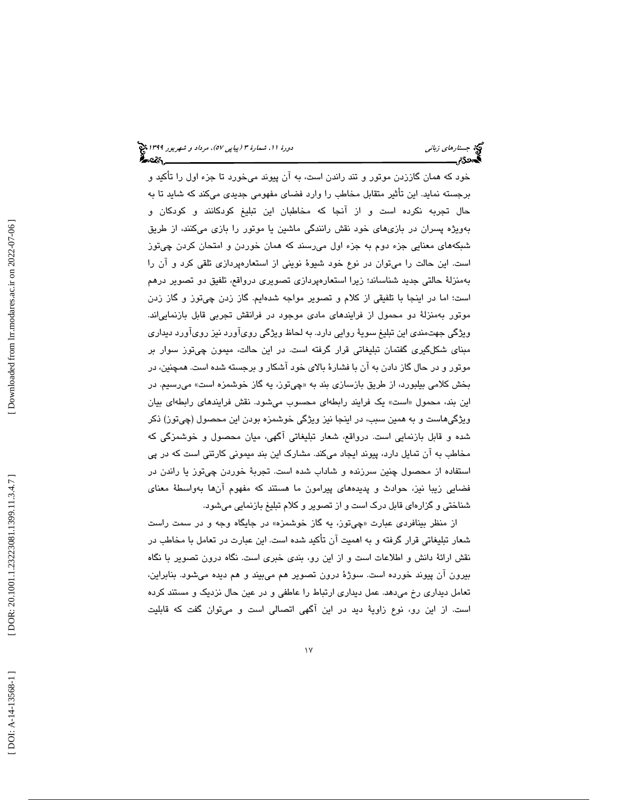خود كه همان گاززدن موتور و تند راندن است، به آن پيوند ميخورد تا جزء اول را تأكيد و برجسته نمايد. اين تأثير متقابل مخاطب را وارد فضاي مفهومي جديدي ميكند كه شايد تا به حال تجربه نكرده است و از آنجا كه مخاطبان اين تبليغ كودكانند و كودكان و بهويژه پسران در بازيهاي خود نقش رانندگي ماشين يا موتور را بازي ميكنند، از طريق شبكههاي معنايي جزء دوم به جزء اول ميرسند كه همان خوردن و امتحان كردن چيتوز است. اين حالت را ميتوان در نوع خود شيوة نويني از استعارهپردازي تلقي كرد و آن را بهمنزلة حالتي جديد شناساند؛ زيرا استعارهپردازي تصويري درواقع، تلفيق دو تصوير درهم است؛ اما در اينجا با تلفيقي از كلام و تصوير مواجه شدهايم. گاز زدن چيتوز و گاز زدن موتور بهمنزلة دو محمول از فرايندهاي مادي موجود در فرانقش تجربي قابل بازنمايياند. ويژگي جهتمندي اين تبليغ سوية روايي دارد. به لحاظ ويژگي رويآورد نيز رويآورد ديداري مبناي شكلگيري گفتمان تبليغاتي قرار گرفته است. در اين حالت، ميمون چيتوز سوار بر موتور و در حال گاز دادن به آن با فشارة بالاي خود آشكار و برجسته شده است. همچنين ، در بخش كلامي بيلبورد، از طريق بازسازي بند به « چيتوز، يه گاز خوشمزه است» ميرسيم. در اين بند، محمول «است» يک فرايند رابطهاي محسوب ميشود. نقش فرايندهاي رابطهاي بيان ويژگيهاست و به همين سبب، در اينجا نيز ويژگي خوشمزه بودن اين محصول (چيتوز) ذكر شده و قابل بازنمايي است. درواقع، شعار تبليغاتي آگهي، ميان محصول و خوشمزگي كه مخاطب به آن تمايل دارد، پيوند ايجاد ميكند. مشارك اين بند ميموني كارتني است كه در پي استفاده از محصول چنين سرزنده و شاداب شده است. تجربة خوردن چيتوز يا راندن در فضايي زيبا نيز، حوادث و پديدههاي پيرامون ما هستند كه مفهوم آنها بهواسطة معناي شناختي و گزارهاي قابل درك است و از تصوير و كلام تبليغ بازنمايي ميشود.

از منظر بينافردي عبارت «چيتوز، يه گاز خوشمزه» در جايگاه وجه و در سمت راست شعار تبليغاتي قرار گرفته و به اهميت آن تأكيد شده است. اين عبارت در تعامل با مخاطب در نقش ارائهٔ دانش و اطلاعات است و از اين رو، بندي خبري است. نگاه درون تصوير با نگاه بيرون آن پيوند خورده است. سوژة درون تصوير هم ميبيند و هم ديده ميشود. بنابراين ، تعامل ديداري رخ ميدهد. عمل ديداري ارتباط را عاطفي و در عين حال نزديك و مستند كرده است. از اين رو، نوع زاويهٔ ديد در اين آگهي اتصالي است و ميتوان گفت كه قابليت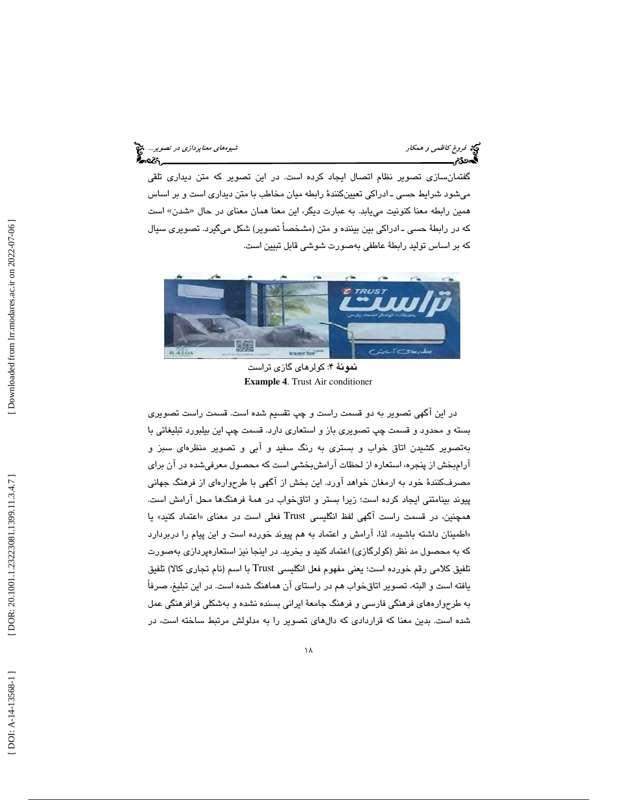فروغ كاظمى و همكار شيوههاي معناپرد*ازى در تصوير..*. في معناپرد*ازى در تصوير...*<br>**گيهن53م <u>شيوههاي معنا</u>ر معناپردازن در تصوير معناپردازي معناپردازي در تصوير معناپردازي در تصوير...**<br>**گيهن53م** 

گفتمانسازي تصوير نظام اتصال ايجاد كرده است. در اين تصوير كه متن ديداري تلقي ميشود شرايط حسي ـ ادراكي تعيينكنندة رابطه ميان مخاطب با متن ديداري است و بر اساس همين رابطه معنا كنونيت ميLبد. به عبارت ديگر، اين معنا همان معناي در حال «شدن» است كه در رابطة حسي ـ ادراكي بين بيننده و متن (مشخصاً تصوير) شكل ميگيرد. تصويري سيال كه بر اساس توليد رابطة عاطفي بهصورت شوشي قابل تبيين است.



نمونة 4: كولرهاي گازي تراست **Example 4**. Trust Air conditioner

در اين آگهي تصوير به دو قسمت راست و چپ تقسيم شده است. قسمت راست تصويري بسته و محدود و قسمت چپ تصويري باز و استعاري دارد. قسمت چپ اين بيلبورد تبليغاتي با به تصوير كشيدن اتاق خواب و بستري به رنگ سفيد و آبي و تصوير منظرهاي سبز و آرامبخش از پنجره ، استعاره از لحظات آرامشبخشي است كه محصول معرفيشده در آن براي مصرفكنندة خود به ارمغان خواهد آورد. اين بخش از آگهي با طرح وارهاي از فرهنگ جهاني پيوند بينامتني ايجاد كرده است؛ زيرا بستر و اتاقخواب در همة فرهنگها محل آرامش است. همچنين، در قسمت راست آگهي لفظ انگليسي Trust فعلي است در معناي «اعتماد كنيد» يا «اطمينان داشته باشيد». لذا، ارامش و اعتماد به هم پيوند خورده است و اين پيام را دربردارد كه به محصول مد نظر (كولرگازي) اعتماد كنيد و بخريد. در اينجا نيز استعارهپردازي هب صورت تلفيق كلامي رقم خورده است؛ يعني مفهوم فعل انگليسي Trust با اسم (نام تجاري كالا) تلفيق يافته است و البته ، تصوير اتاقخواب هم در راستاي آن هماهنگ شده است. در اين تبليغ، صرفاً به طرحوارههاي فرهنگي فارسي و فرهنگ جامعة ايراني بسنده نشده و بهشكلي فرافرهنگي عمل شده است. بدين معنا كه قراردادي كه دالهاي تصوير را به مدلولش مرتبط ساخته است، در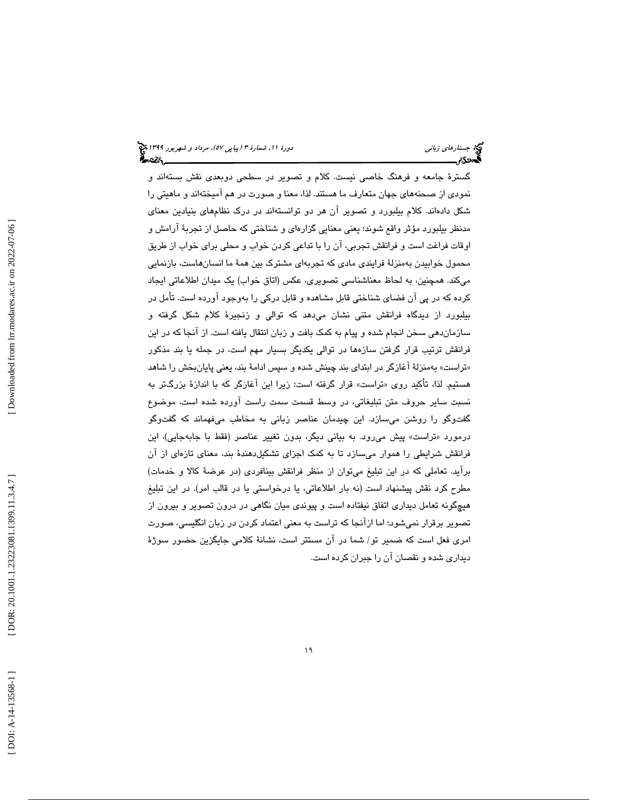گسترة جامعه و فرهنگ خاصي نيست. كلام و تصوير در سطحي دوبعدي نقش بستهاند و نمودي از صحنههاي جهان متعارف ما هستند. لذا ، معنا و صورت در هم آميختهاند و ماهيتي را شكل دا دهاند. كلام بيلبورد و تصوير آن هر دو توانستهاند در درك نظامهاي بنيادين معناي مدنظر بيلبورد مؤثر واقع شوند؛ يعني معنايي گزارهاي و شناختي كه حاصل از تجربة آرامش و اوقات فراغت است و فرانقش تجربي، آن را با تداعي كردن خواب و محلي براي خواب از طريق محمول خوابيدن بهمنزلة فرايندي مادي كه تجربهاي مشترك بين همة ما انسانهاست، بازنمايي ميكند. همچنين ، به لحاظ معناشناسي تصويري، عكس (اتاق خواب) يك ميدان اطلاعاتي ايجاد كرده كه در پي آن فضاي شناختي قابل مشاهده و قابل دركي را بهوجود آورده است. تأمل در بيلبورد از ديدگاه فرانقش متني نشان ميدهد كه توالي و زنجيرة كلام شكل گرفته و سازماندهي سخن انجام شده و پيام به كمك بافت و زبان انتقال يافته است. از آنجا كه در اين فرانقش ترتيب قرار گرفتن سازهها در توالي يكديگر بسيار مهم است، در جمله يا بند مذكور «تراست» بهمنزلهٔ اغازگر در ابتدای بند چینش شده و سپس ادامهٔ بند، یعنی پایانبخش را شاهد هستيم. لذا، تأكيد روی «تراست» قرار گرفته است؛ زيرا اين اغازگر كه با اندازهٔ بزرگتر به نسبت ساير حروف متن تبليغاتي، در وسط قسمت سمت راست آورده شده است، موضوع گفتوگو را روشن میسازد. این چیدمان عناصر زبانی به مخاطب میفهماند که گفتوگو درمورد «تراست» پيش مۍرود. به بياني ديگر، بدون تغيير عناصر (فقط با جابهجايي)، اين فرانقش شرايطي را هموار ميسازد تا به كمك اجزاي تشكيلدهندة بند، معناي تازهاي از آن برآيد. تعاملي كه در اين تبليغ ميتوان از منظر فرانقش بينافردي (در عرضة كالا و خدمات) مطرح كرد نقش پيشنهاد است (نه بار اطلاعاتي، يا درخواستي يا در قالب امر). در اين تبليغ هيچگونه تعامل ديداري اتفاق نيفتاده است و پيوندي ميان نگاهي در درون تصوير و بيرون از تصوير برقرار نميشود؛ اما ازآنجا كه تراست به معني اعتماد كردن در زبان انگليسي، صورت امري فعل است كه ضمير تو/ شما در آن مستتر است، نشانة كلامي جايگزين حضور سوژة ديداري شده و نقصان آن را جبران كرده است.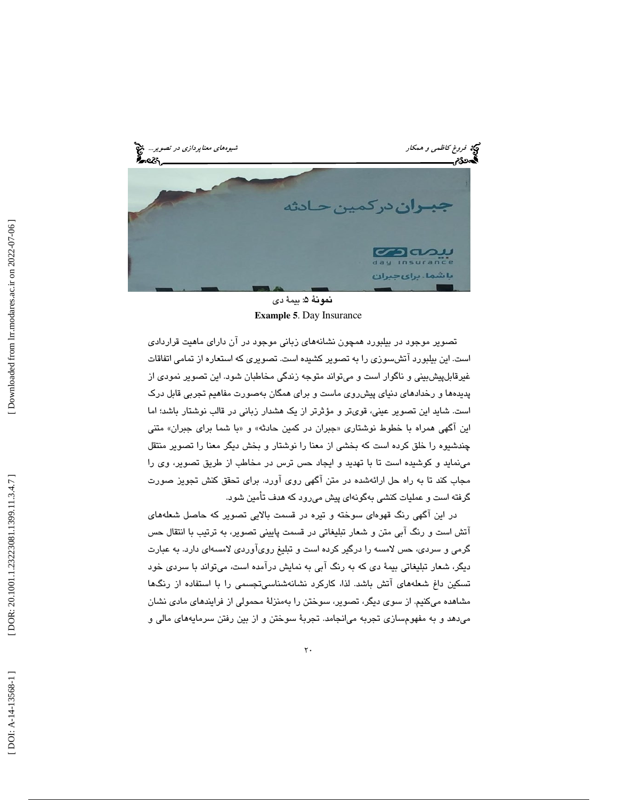فرد فروغ كاظمى و همكار شيوههاي معناپرد*ازى در تصوير...*<br>پيدافتگاه معناپردازي در تصوير...<br>**پيدافتگاه معناپردازي در تصوير به در تصوير به اين معناپردازي در تصوير**... e۵ حادثه جب ان دركمين ၁လသ Insurance باشما. برای *ج*برا<mark>ن</mark>

نمونة 5: بيمة دي **Example 5** . Day Insurance

تصوير موجود در بيلبورد همچون نشانههاي زباني موجود در آن داراي ماهيت قراردادي است. اين بيلبورد آتشسوزي را به تصوير كشيده است. تصويري كه استعاره از تمامي اتفاقات غيرقابلپيشبيني و ناگوار است و ميتواند متوجه زندگي مخاطبان شود. اين تصوير نمودي از پديدهها و رخدادهاي دنياي پيشروي ماست و براي همگان بهصورت مفاهيم تجربي قابل درك است. شايد اين تصوير عيني، قويتر و مؤثرتر از يك هشدار زباني در قالب نوشتار باشد؛ اما این اگهی همراه با خطوط نوشتاری «جبران در کمین حادثه» و «با شما برای جبران» متنی چندشيوه را خلق كرده است كه بخشي از معنا را نوشتار و بخش ديگر معنا را تصوير منتقل مينمايد و كوشيده است تا با تهديد و ايجاد حس ترس در مخاطب از طريق تصوير، وي را مجاب كند تا به راه حل ارائهشده در متن آگهي روي آورد. براي تحقق كنش تجويز صورت گرفته است و عمليات كنشي بهگونهاي پيش ميرود كه هدف تأمين شود.

در اين آگهي رنگ قهوهاي سوخته و تيره در قسمت بالايي تصوير كه حاصل شعلههاي آتش است و رنگ آبي متن و شعار تبليغاتي در قسمت پاييني تصوير، به ترتيب با انتقال حس گرمي و سردي، حس لامسه را درگير كرده است و تبليغ رويآوردي لامسهاي دارد. به عبارت ديگر، شعار تبليغاتي بيمة دي كه به رنگ آبي به نمايش درآمده است، ميتواند با سردي خود تسكين داغ شعلههاي آتش باشد. لذا ، كاركرد نشانهشناسيتجسمي را با استفاده از رنگها مشاهده ميكنيم. از سوي ديگر، تصوير، سوختن را بهمنزلة محمولي از فرايندهاي مادي نشان ميدهد و به مفهومسازي تجربه ميانجامد. تجربة سوختن و از بين رفتن سرمايههاي مالي و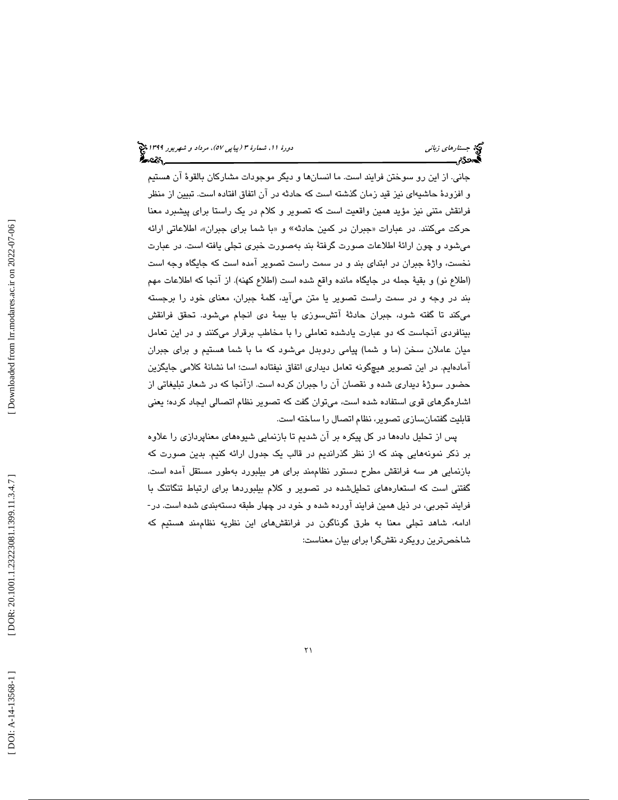جاني. از اين رو سوختن فرايند است. ما انسانها و ديگر موجودات مشاركان بالقوة آن هستيم و افزودة حاشيهاي نيز قيد زمان گذشته است كه حادثه در آن اتفاق افتاده است. تبيين از منظر فرانقش متني نيز مؤيد همين واقعيت است كه تصوير و كلام در يك راستا براي پيشبرد معنا حرکت میکنند. در عبارات «جبران در کمین حادثه» و «با شما برای جبران»، اطلاعاتی ارائه ميشود و چون ارائة اطلاعات صورت گرفتة بند بهصورت خبري تجلي يافته است. در عبارت نخست، واژهٔ جبران در ابتدای بند و در سمت راست تصویر آمده است كه جایگاه وجه است (اطلاع نو) و بقية جمله در جايگاه مانده واقع شده است (اطلاع كهنه). از آنجا كه اطلاعات مهم بند در وجه و در سمت راست تصوير يا متن ميآيد، كلمة جبران، معناي خود را برجسته ميكند تا گفته شود ، جبران حادثة آتشسوزي با بيمة دي انجام ميشود. تحقق فرانقش بينافردي آنجاست كه دو عبارت يادشده تعاملي را با مخاطب برقرار ميكنند و در اين تعامل ميان عاملان سخن (ما و شما) پيامي ردوبدل ميشود كه ما با شما هستيم و براي جبران آمادهايم. در اين تصوير هيچگونه تعامل ديداري اتفاق نيفتاده است؛ اما نشانة كلامي جايگزين حضور سوژة ديداري شده و نقصان آن را جبران كرده است. ازآنجا كه در شعار تبليغاتي از اشارهگرهاي قوي استفاده شده است، ميتوان گفت كه تصوير نظام اتصالي ايجاد كرده؛ يعني قابليت گفتمانسازي تصوير، نظام اتصال را ساخته است.

پس از تحليل دادهها در كل پيكره بر آن شديم تا بازنمايي شيوههاي معناپردازي را علاوه بر ذكر نمونههايي چند كه از نظر گذرانديم در قالب يك جدول ارائه كنيم. بدين صورت كه بازنمايي هر سه فرانقش مطرح دستور نظاممند براي هر بيلبورد بهطور مستقل آمده است. گفتني است كه استعارههاي تحليلشده در تصوير و كلام بيلبوردها براي ارتباط تنگاتنگ با فرايند تجربي، در ذيل همين فرايند آورده شده و خود در چهار طبقه دستهبندي شده است. در- ادامه، شاهد تجلي معنا به طرق گوناگون در فرانقشهاي اين نظريه نظاممند هستيم كه شاخصترين رويكرد نقشگرا براي بيان معناست: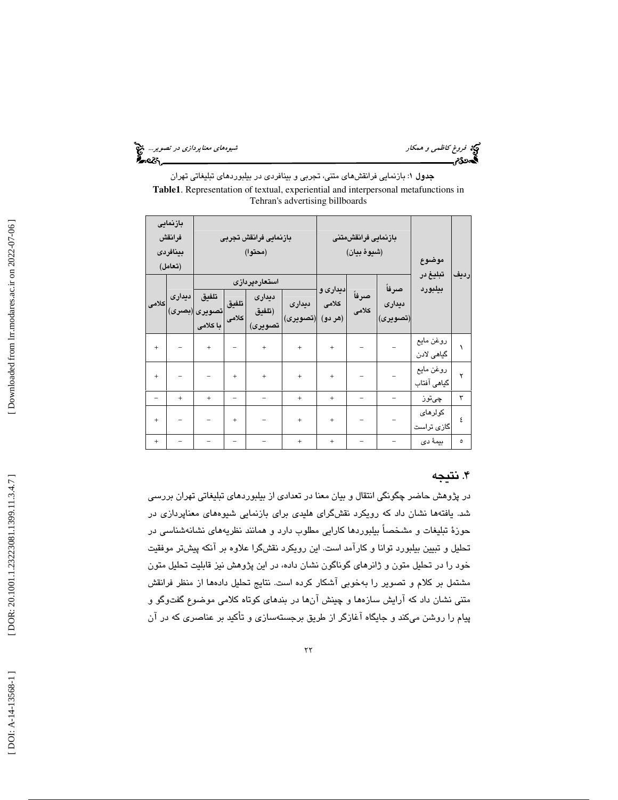فروغ كاظمى و همكار شيوههاي معناپردازى در تصوير... ، في معناپردازي در تصوير... ، في معناپردازي در تصوير...<br>**الصحافی الصحيح الله معنا**ب معناپردازي معناپردازي معناپردازي معناپردازي در تصوير الله معناپردازي در تصوير الله م

جدول 1: بازنمايي فرانقشهاي متني، تجربي و بينافردي در بيلبوردهاي تبليغاتي تهران **Table1**. Representation of textual, experiential and interpersonal metafunctions in Tehran's advertising billboards

| بازنمایی<br>فرانقش<br>بينافردى<br>(تعامل) |        | بازنمايى فرانقش تجربى<br>(محتوا)   |                |                                              |                    | بازنمايى فرانقش متنى<br>(شيوة بيان) |                |                             | موضوع                         |      |
|-------------------------------------------|--------|------------------------------------|----------------|----------------------------------------------|--------------------|-------------------------------------|----------------|-----------------------------|-------------------------------|------|
| أكلامى                                    | ديدارى | تلفيق<br>تصويرى (بصرى)<br>با كلامى | تلفيق<br>كلامى | استعارەپردازى<br>ديدارى<br>(تلفيق<br>تصويرى) | ديدارى<br>(تصويرى) | ديداری و<br>كلامى<br>(هر دو)        | صرفاً<br>كلامى | صرفاً<br>ديدارى<br>(تصويرى) | تبليغ در<br>بيلبورد           | رديف |
| $\ddot{}$                                 |        | $+$                                |                | $^{+}$                                       | $^{+}$             | $^{+}$                              |                |                             | روغن مايع<br>گیاهی لادن       |      |
| $^{+}$                                    |        |                                    | $^{+}$         | $^{+}$                                       | $^{+}$             | $^{+}$                              |                |                             | روغن مايع<br>گیاهی آفتاب      | ۲    |
|                                           | $^{+}$ | $\ddot{}$                          |                |                                              | $^{+}$             | $\ddot{}$                           |                |                             | چىتوز                         | ٣    |
| $\ddot{}$                                 |        |                                    | $\ddot{}$      |                                              | $^{+}$             | $^{+}$                              |                |                             | كولرهاى<br>گاز <i>ی</i> تراست | ٤    |
| $^{+}$                                    |        |                                    |                |                                              | $^{+}$             | $^{+}$                              |                |                             | بيمهٔ دی                      | ٥    |

#### . 4 نتيجه

در پژوهش حاضر چگونگي انتقال و بيان معنا در تعدادي از بيلبوردهاي تبليغاتي تهران بررسي شد. يافتهها نشان داد كه رويكرد نقشگراي هليدي براي بازنمايي شيوههاي معناپردازي در حوزة تبليغات و مشخصاً بيلبوردها كارايي مطلوب دارد و همانند نظريههاي نشانهشناسي در تحليل و تبيين بيلبورد توانا و كارآمد است. اين رويكرد نقشگرا علاوه بر آنكه پيشتر موفقيت خود را در تحليل متون و ژانرهاي گوناگون نشان داده، در اين پژوهش نيز قابليت تحليل متون مشتمل بر كلام و تصوير را بهخوبي آشكار كرده است. نتايج تحليل دادهها از منظر فرانقش متني نشان داد كه ارايش سازهها و چينش انها در بندهاي كوتاه كلامي موضوع گفتوگو و پيام را روشن ميكند و جايگاه آغازگر از طريق برجستهسازي و تأكيد بر عناصري كه در آن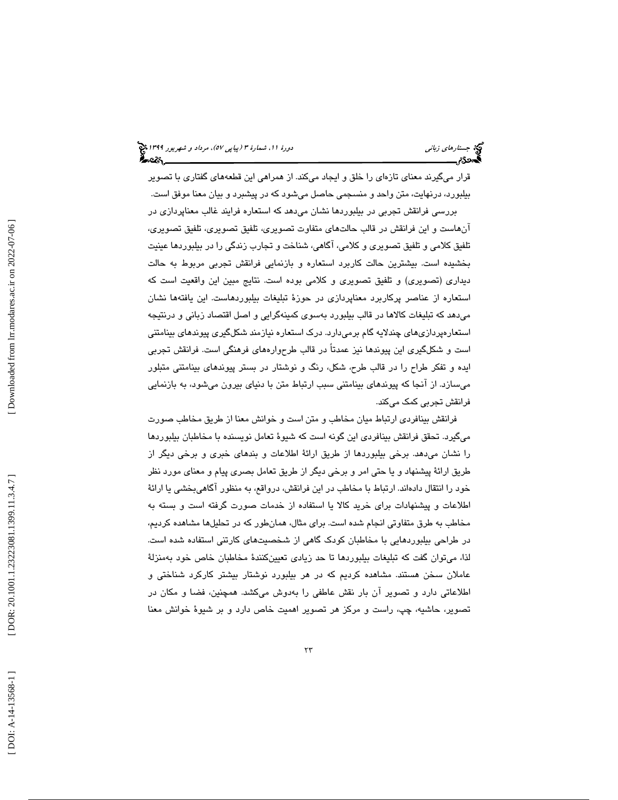قرار ميگيرند معناي تازهاي را خلق و ايجاد ميكند. از همراهي اين قطعههاي گفتاري با تصوير بيلبورد، درنهايت ، متن واحد و منسجمي حاصل ميشود كه در پيشبرد و بيان معنا موفق است.

بررسي فرانقش تجربي در بيلبوردها نشان ميدهد كه استعاره فرايند غالب معناپردازي در آنهاست و اين فرانقش در قالب حالتهاي متفاوت تصويري، تلفيق تصويري، تلفيق تصويري، تلفيق كلامي و تلفيق تصويري و كلامي، آگاهي، شناخت و تجارب زندگي را در بيلبوردها عينيت بخشيده است. بيشترين حالت كاربرد استعاره و بازنمايي فرانقش تجربي مربوط به حالت ديداري (تصويري) و تلفيق تصويري و كلامي بوده است. نتايج مبين اين واقعيت است كه استعاره از عناصر پركاربرد معناپردازي در حوزة تبليغات بيلبوردهاست. اين يافتهها نشان ميدهد كه تبليغات كالاها در قالب بيلبورد بهسوي كمينهگرايي و اصل اقتصاد زباني و درنتيجه استعارهپردازيهاي چندلايه گام برميدارد. درك استعاره نيازمند شكلگيري پيوندهاي بينامتني است و شكلگيري اين پيوندها نيز عمدتاً در قالب طرح وارههاي فرهنگي است. فرانقش تجربي ايده و تفكر طراح را در قالب طرح، شكل، رنگ و نوشتار در بستر پيوندهاي بينامتني متبلور ميسازد. از آنجا كه پيوندهاي بينامتني سبب ارتباط متن با دنياي بيرون ميشود، به بازنمايي فرانقش تجربي كمك ميكند.

فرانقش بينافردي ارتباط ميان مخاطب و متن است و خوانش معنا از طريق مخاطب صورت ميگيرد. تحقق فرانقش بينافردي اين گونه است كه شيوة تعامل نويسنده با مخاطبان بيلبوردها را نشان ميدهد. برخي بيلبوردها از طريق ارائة اطلاعات و بندهاي خبري و برخي ديگر از طريق ارائة پيشنهاد و يا حتي امر و برخي ديگر از طريق تعامل بصري پيام و معناي مورد نظر خود را انتقال دادهاند. ارتباط با مخاطب در اين فرانقش، درواقع، به منظور آگاهيبخشي يا ارائهٔ اطلاعات و پيشنهادات براي خريد كالا يا استفاده از خدمات صورت گرفته است و بسته به مخاطب به طرق متفاوتي انجام شده است. براي مثال، همانطور كه در تحليلها مشاهده كرديم، در طراحي بيلبوردهايي با مخاطبان كودك گاهي از شخصيتهاي كارتني استفاده شده است. لذا، ميتوان گفت كه تبليغات بيلبوردها تا حد زيادي تعيينكنندهٔ مخاطبان خاص خود بهمنزلهٔ عاملان سخن هستند. مشاهده كرديم كه در هر بيلبورد نوشتار بيشتر كاركرد شناختي و اطلاعاتي دارد و تصوير آن بار نقش عاطفي را بهدوش ميكشد. همچنين ، فضا و مكان در تصوير، حاشيه، چپ، راست و مركز هر تصوير اهميت خاص دارد و بر شيوة خوانش معنا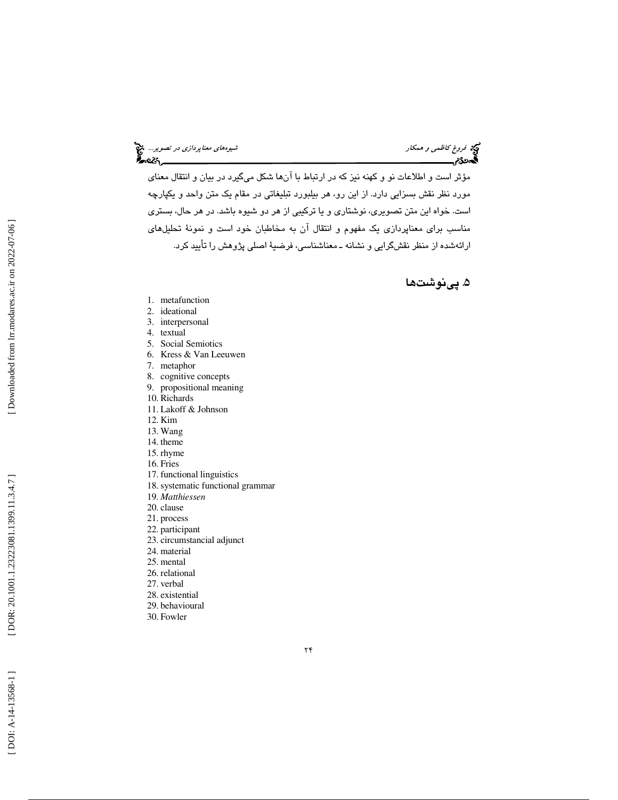# فروغ كاظمى و همكار شيوهاي معناپردازي در تصوير... في معناپردازي در تصوير... في معناپردازي در تصوير... في معنا<br>المعناوي معناپردازي معناپردازي معناپردازي معناپردازي معناپردازي معناپردازي معناپردازي در تصوير... في

مؤثر است و اطلاعات نو و كهنه نيز كه در ارتباط با آنها شكل ميگيرد در بيان و انتقال معناي مورد نظر نقش بسزايي دارد. از اين رو، هر بيلبورد تبليغاتي در مقام يك متن واحد و يكپارچه است. خواه اين متن تصويري، نوشتاري و يا تركيبي از هر دو شيوه باشد. در هر حال، بستري مناسب براي معناپردازي يك مفهوم و انتقال آن به مخاطبان خود است و نمونة تحليلهاي ارائهشده از منظر نقشگرايي و نشانه ـ معناشناسي ، فرضية اصلي پژوهش را تأييد كرد .

#### . 5 پينوشتها

- 1. metafunction
- 2. ideational
- 3. interpersonal
- 4. textual
- 5. Social Semiotics
- 6. Kress & Van Leeuwen
- 7. metaphor
- 8. cognitive concepts
- 9. propositional meaning
- 10. Richards
- 11. Lakoff & Johnson
- 12. Kim
- 13. Wang
- 14. theme
- 15. rhyme
- 16. Fries
- 17. functional linguistics
- 18. systematic functional grammar
- 19. *Matthiessen*
- 20. clause
- 21. process
- 22. participant
- 23. circumstancial adjunct
- 24. material
- 25. mental
- 26. relational
- 27. verbal
- 28. existential
- 29. behavioural
- 30. Fowler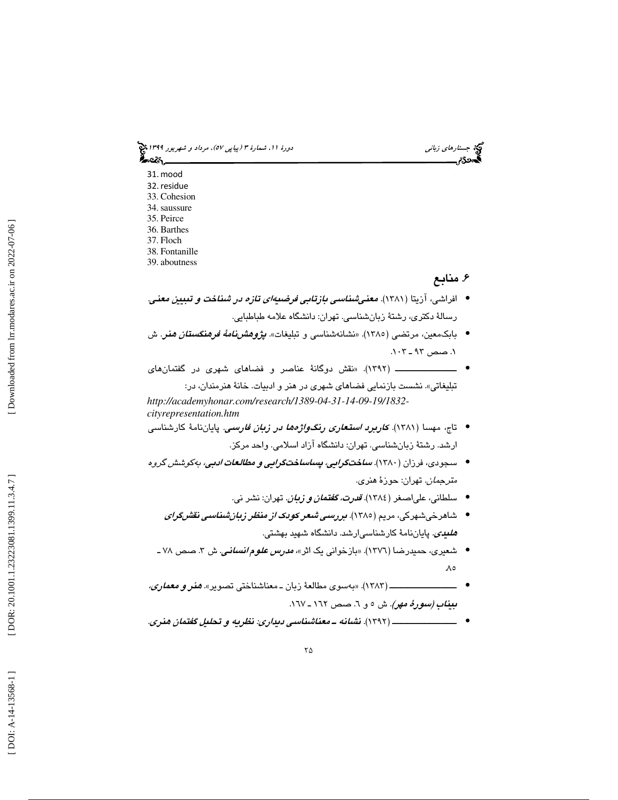جستارها*ي زباني (هي دورة 1391 هـ* مرداد و شهريور 1191 هجري 1394 هجريور 1394 هجريور 1394 هجريور 1394 هجريور 1394 ಹಿಂದಿ

32.residue 33. Cohesion 34. saussure 35. Peirce 36. Barthes 37. Floch

31.mood

38. Fontanille

39. aboutness

### . 6 منابع

- افراشي، آزيتا (١٣٨١). مع*غي شناسي بازتابي فرضيهاي تازه در شناخت و تبيين معني.* رسالة دكتري، رشتة زبانشناسي . تهران: دانشگاه علامه طباطبايي.
- بابکـمعین، مرتضـي (١٣٨٥). «نشـانـهشناسـي و تبلیغات» *پژوهشنامهٔ فرهنگستقان ه*فـر. ش . 1 صص ـ 93 .103
- نقش دوگان ة عناصر و فضاهاي شهري در گفتمانهاي ـــــــــــــــــــــ ( 1392). « تبليغاتي». نشست بازنمايي فضاهاي شهري در هنر و ادبيات. خانة هنرمندان، در:

*http://academyhonar.com/research/1389-04-31-14-09-19/1832 cityrepresentation.htm* ● تاج، مهسا (۱۳۸۱). *كا<mark>ربرد استعارى رنگواژەها د</mark>ر ز<mark>با<i>ن فارس*ىي</mark>. پايان\امۀ كارشناسى

- ارشد . رشتة زبانشناسي. تهران: دانشگاه آزاد اسلامي. واحد مركز.
- سجودی، فرزان (۱۳۸۰). *ساختگراي<i>ي، پساسا***ختگر***ايي و مطالعات ادبي، به***کوشش گروه** مترجمان. تهران: حوزة هنري.
	- سلطاني، علىاصغر (١٣٨٤). *قدرت، گفتمان و زبان.* تهران: نشر ني.
	- شاهرخیشهرکی، مریم (۱۳۸۰). *بررسی شعر کودک از منظر زبانشناسی نقشگرای هلیدی.* پایاننامهٔ کارشناسیارشد. دانشگاه شهید بهشتی.
	- شعیری، حمیدرضا (١٣٧٦). «بازخوانی یک اثر»، *مدرس علوم انسانی*. ش ۳. صص ۷۸ ـ  $\Lambda$
- ـــــــــــــــــــــــ ( 1383 «). بهسوي مطالعة زب ـ ان معناشناختي تصوير». هنر و معماري، • بيناب *(سورهٔ مهر).* ش ٥ و ٦. صص ١٦٢ ـ ١٦٧.
- ــــــــــــــــــــــ ( 1392 . ) نشانه ـ معناشناسي ديداري: نظريه و تحليل گفتمان هنري. •

Downloaded from lrr.modares.ac.ir on 2022-07-06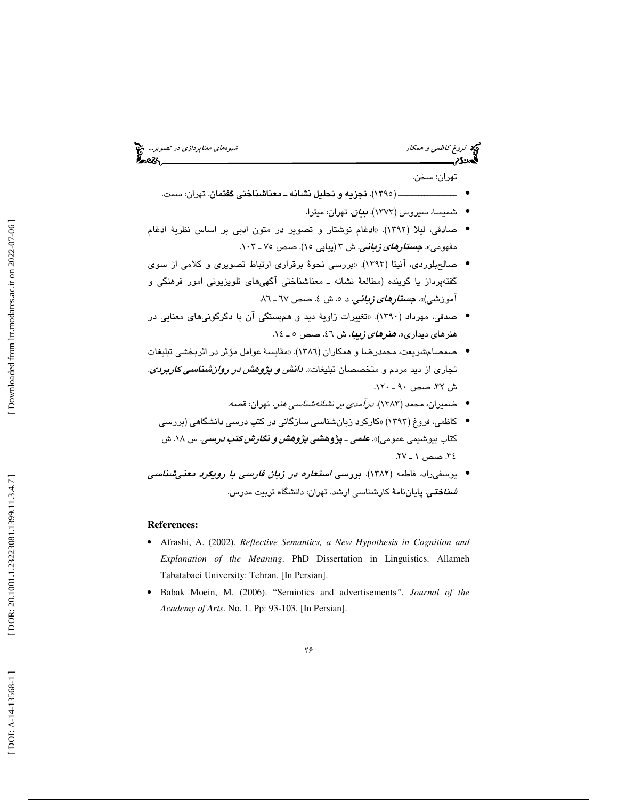فروغ كاظمى و همكار شيوههاي معناپرد*ازى در تصوير...*. في معناپرد*ازى در تصوير...*<br>**گيهددگام بيروههاي معناپردازي معناپردازي در تصوير بيروههاي معناپردازي در تصوير بيروههاي معناپردازي در تصوير بير** 

تهران: سخن.

- ــــــــــــــــــــ ( 1395). تجزيه و تحليل نشانه ـ معناشناختي گفتمان. تهران: سمت.
	- شمیسا، سیروس (۱۳۷۳). *بیان.* تهران: میترا.
- . «ادغام نوشتار و تصوير در متون ادبي بر اساس نظرية ادغام صادقي، ليلا (1392) مفهومی». **جس***تارهای زبانی.* ش ۳ (پیاپی ۱۵). صص ۷۵ ـ ۱۰۳.
- صالح $\mu$ بلوردی، آنيتا (١٣٩٣). «بررسي نحوهٔ برقراري ارتباط تصويري و كلامي از سوي گفتهپرداز يا گوينده (مطالعهٔ نشانه ـ معناشناختی آگهیهای تلويزيونی امور فرهنگی و آموزشی)». <mark>*جستار<i>های زبانی.* د ۰. ش ٤. صص ٦٧ ـ ٨٦.</mark></mark>
- صدقي، مهرداد (١٣٩٠). «تغييرات زاويهٔ ديد و همېستگي آن با دگرگونيهاي معنايي در هنرهاي ديداري». *هنرهاي زيبا*. ش ٤٦. صص ٥ ـ ١٤.
- صمصام شريعت، محمدرضا و همكاران (١٣٨٦). «مقايسهٔ عوامل مؤثر در اثربخشي تبليغات تجاري از ديد مردم و متخصصان تبليغات». *دانش و پژوهش در روان شناسي كاربردي*. ش 32. صص ـ 90 120 .
	- ضميران، محمد (1383). درآمدي بر نشانهشناسي هنر. تهران: قصه. •
	- كاظمي، فروغ (1393 «) كاركرد زبانشناسي سازگاني در كتب درسي دانشگاهي (بررسي كتاب بيوشىيى عمومى)». **ع***لمى -* **پژوهش***ى پژوهش و نگارش كتب درسى.* **س ۱۸. ش** . 34 صص ـ 1 27.
- يوسفىراد، فاطمه (١٣٨٢). بررس*ي استعاره در زبان فارسي با رويكرد معني شناسي شىناختى.* **پ**اياننامۀ كارشناسى ارشد. تهران: دانشگاه تربيت مدرس.

#### **References:**

- Afrashi, A. (2002). *Reflective Semantics, a New Hypothesis in Cognition and Explanation of the Meaning*. PhD Dissertation in Linguistics. Allameh Tabatabaei University: Tehran. [In Persian].
- Babak Moein, M. (2006). "Semiotics and advertisements*". Journal of the Academy of Arts*. No. 1. Pp: 93-103. [In Persian].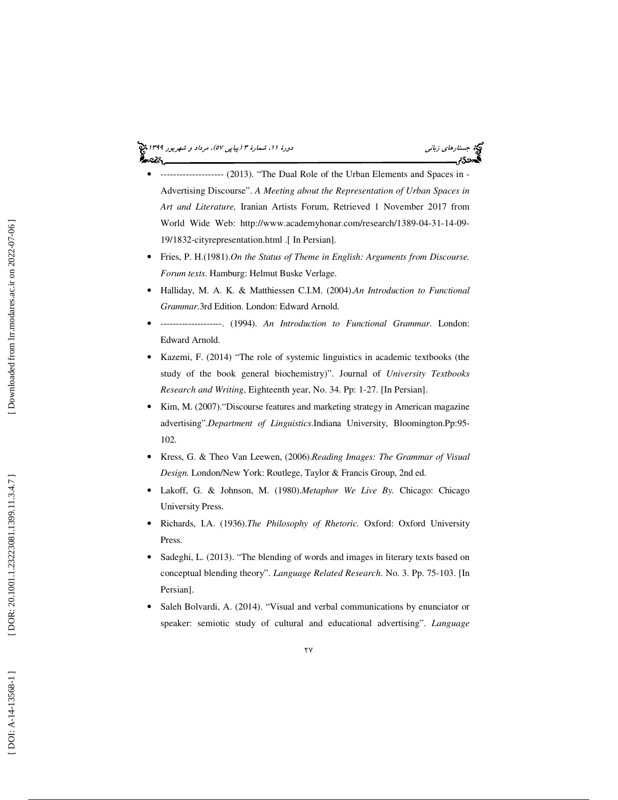# جستارها*ي زباني (هي دورة 1391 هـ* مرداد و شهريور 1191 هجري 1394 هجريور 1394 هجريور 1394 هجريور 1394 هجريور 1394

- -------------------- (2013). "The Dual Role of the Urban Elements and Spaces in Advertising Discourse". *A Meeting about the Representation of Urban Spaces in Art and Literature,* Iranian Artists Forum, Retrieved 1 November 2017 from World Wide Web: http://www.academyhonar.com/research/1389-04-31-14-09- 19/1832-cityrepresentation.html .[ In Persian].
- Fries, P. H.(1981).*On the Status of Theme in English: Arguments from Discourse. Forum texts*. Hamburg: Helmut Buske Verlage.
- Halliday, M. A. K. & Matthiessen C.I.M. (2004).*An Introduction to Functional Grammar*.3rd Edition. London: Edward Arnold.
- --------------------. (1994). *An Introduction to Functional Grammar*. London: Edward Arnold.
- Kazemi, F. (2014) "The role of systemic linguistics in academic textbooks (the study of the book general biochemistry)". Journal of *University Textbooks Research and Writing*, Eighteenth year, No. 34. Pp: 1-27. [In Persian].
- Kim, M. (2007)."Discourse features and marketing strategy in American magazine advertising".*Department of Linguistics*.Indiana University, Bloomington.Pp:95- 102.
- Kress, G. & Theo Van Leewen, (2006).*Reading Images: The Grammar of Visual Design.* London/New York: Routlege, Taylor & Francis Group, 2nd ed.
- Lakoff, G. & Johnson, M. (1980).*Metaphor We Live By.* Chicago: Chicago University Press.
- Richards, I.A. (1936).*The Philosophy of Rhetoric.* Oxford: Oxford University Press.
- Sadeghi, L. (2013). "The blending of words and images in literary texts based on conceptual blending theory". *Language Related Research*. No. 3. Pp. 75-103. [In Persian].
- Saleh Bolvardi, A. (2014). "Visual and verbal communications by enunciator or speaker: semiotic study of cultural and educational advertising". *Language*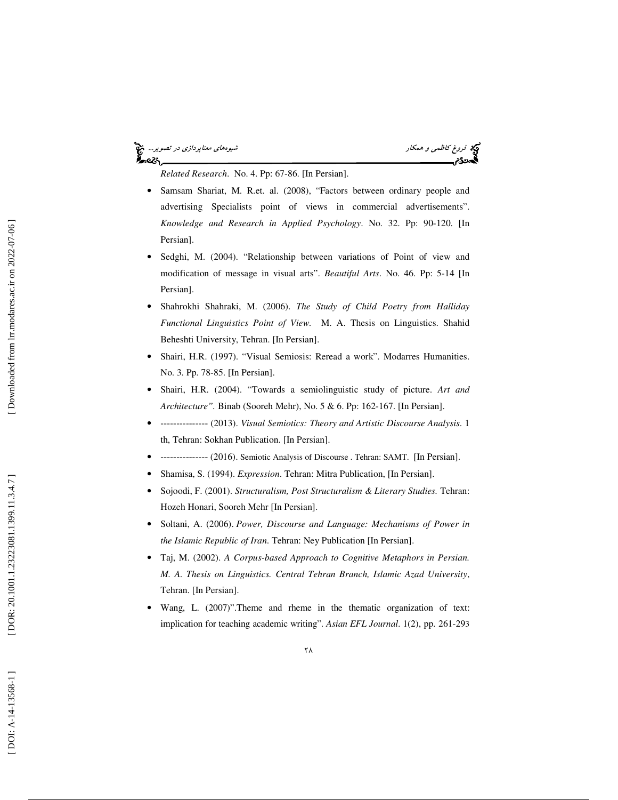#### فروغ كاظمى و همكار شيوههاي معناپرد*ازى در تصوير...*. في معناپرد*ازى در تصوير...*. في معناپردازي در تصوير... في ا<br>**الی دی کل معنا**ب معناپردازي معناپردازي معناپردازي معناپردازي معناپردازي در تصوير معناپردازي در تصوير معناپر '∽વડ

*Related Research*. No. 4. Pp: 67-86. [In Persian].

- Samsam Shariat, M. R.et. al. (2008), "Factors between ordinary people and advertising Specialists point of views in commercial advertisements". *Knowledge and Research in Applied Psychology*. No. 32. Pp: 90-120. [In Persian].
- Sedghi, M. (2004). "Relationship between variations of Point of view and modification of message in visual arts". *Beautiful Arts*. No. 46. Pp: 5-14 [In Persian].
- Shahrokhi Shahraki, M. (2006). *The Study of Child Poetry from Halliday Functional Linguistics Point of View.* M. A. Thesis on Linguistics. Shahid Beheshti University, Tehran. [In Persian].
- Shairi, H.R. (1997). "Visual Semiosis: Reread a work". Modarres Humanities. No. 3. Pp. 78-85. [In Persian].
- Shairi, H.R. (2004). "Towards a semiolinguistic study of picture. *Art and Architecture".* Binab (Sooreh Mehr), No. 5 & 6. Pp: 162-167. [In Persian].
- --------------- (2013). *Visual Semiotics: Theory and Artistic Discourse Analysis*. 1 th, Tehran: Sokhan Publication. [In Persian].
- --------------- (2016). Semiotic Analysis of Discourse . Tehran: SAMT. [In Persian].
- Shamisa, S. (1994). *Expression*. Tehran: Mitra Publication, [In Persian].
- Sojoodi, F. (2001). *Structuralism, Post Structuralism & Literary Studies.* Tehran: Hozeh Honari, Sooreh Mehr [In Persian].
- Soltani, A. (2006). *Power, Discourse and Language: Mechanisms of Power in the Islamic Republic of Iran*. Tehran: Ney Publication [In Persian].
- Taj, M. (2002). *A Corpus-based Approach to Cognitive Metaphors in Persian. M. A. Thesis on Linguistics. Central Tehran Branch, Islamic Azad University*, Tehran. [In Persian].
- Wang, L. (2007)".Theme and rheme in the thematic organization of text: implication for teaching academic writing". *Asian EFL Journal*. 1(2), pp. 261-29 3